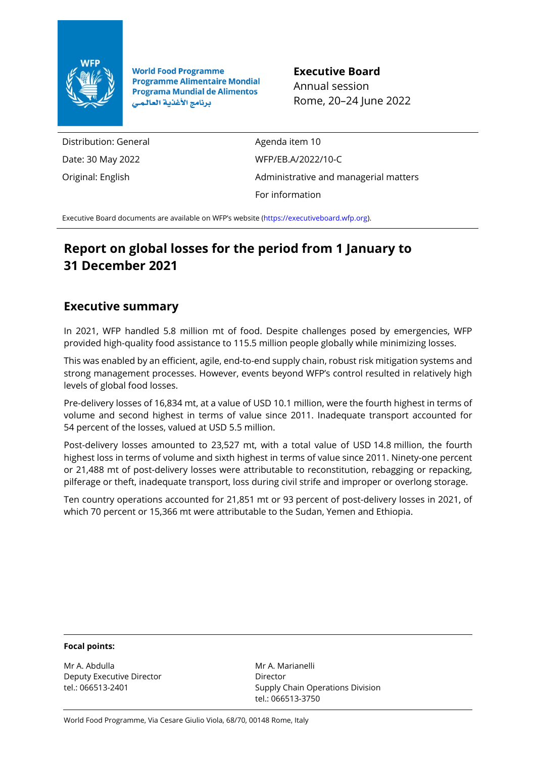

**World Food Programme Programme Alimentaire Mondial Programa Mundial de Alimentos** برنامج الأغذية العالمى

**Executive Board** Annual session Rome, 20–24 June 2022

Distribution: General Date: 30 May 2022 Original: English

Agenda item 10 WFP/EB.A/2022/10-C Administrative and managerial matters For information

Executive Board documents are available on WFP's website [\(https://executiveboard.wfp.org\).](https://executiveboard.wfp.org/)

# **Report on global losses for the period from 1 January to 31 December 2021**

## **Executive summary**

In 2021, WFP handled 5.8 million mt of food. Despite challenges posed by emergencies, WFP provided high-quality food assistance to 115.5 million people globally while minimizing losses.

This was enabled by an efficient, agile, end-to-end supply chain, robust risk mitigation systems and strong management processes. However, events beyond WFP's control resulted in relatively high levels of global food losses.

Pre-delivery losses of 16,834 mt, at a value of USD 10.1 million, were the fourth highest in terms of volume and second highest in terms of value since 2011. Inadequate transport accounted for 54 percent of the losses, valued at USD 5.5 million.

Post-delivery losses amounted to 23,527 mt, with a total value of USD 14.8 million, the fourth highest loss in terms of volume and sixth highest in terms of value since 2011. Ninety-one percent or 21,488 mt of post-delivery losses were attributable to reconstitution, rebagging or repacking, pilferage or theft, inadequate transport, loss during civil strife and improper or overlong storage.

Ten country operations accounted for 21,851 mt or 93 percent of post-delivery losses in 2021, of which 70 percent or 15,366 mt were attributable to the Sudan, Yemen and Ethiopia.

#### **Focal points:**

Mr A. Abdulla Deputy Executive Director tel.: 066513-2401

Mr A. Marianelli Director Supply Chain Operations Division tel.: 066513-3750

World Food Programme, Via Cesare Giulio Viola, 68/70, 00148 Rome, Italy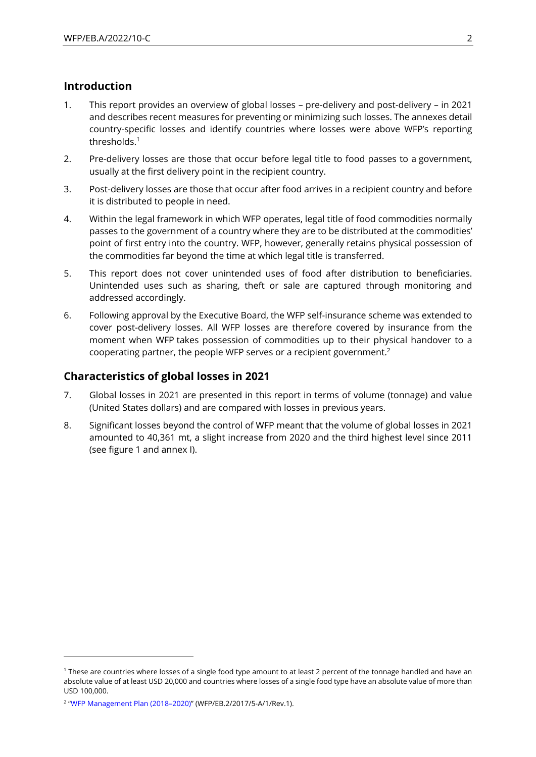#### **Introduction**

- 1. This report provides an overview of global losses pre-delivery and post-delivery in 2021 and describes recent measures for preventing or minimizing such losses. The annexes detail country-specific losses and identify countries where losses were above WFP's reporting thresholds.<sup>1</sup>
- 2. Pre-delivery losses are those that occur before legal title to food passes to a government, usually at the first delivery point in the recipient country.
- 3. Post-delivery losses are those that occur after food arrives in a recipient country and before it is distributed to people in need.
- 4. Within the legal framework in which WFP operates, legal title of food commodities normally passes to the government of a country where they are to be distributed at the commodities' point of first entry into the country. WFP, however, generally retains physical possession of the commodities far beyond the time at which legal title is transferred.
- 5. This report does not cover unintended uses of food after distribution to beneficiaries. Unintended uses such as sharing, theft or sale are captured through monitoring and addressed accordingly.
- 6. Following approval by the Executive Board, the WFP self-insurance scheme was extended to cover post-delivery losses. All WFP losses are therefore covered by insurance from the moment when WFP takes possession of commodities up to their physical handover to a cooperating partner, the people WFP serves or a recipient government.<sup>2</sup>

## **Characteristics of global losses in 2021**

- 7. Global losses in 2021 are presented in this report in terms of volume (tonnage) and value (United States dollars) and are compared with losses in previous years.
- 8. Significant losses beyond the control of WFP meant that the volume of global losses in 2021 amounted to 40,361 mt, a slight increase from 2020 and the third highest level since 2011 (see figure 1 and annex I).

<sup>1</sup> These are countries where losses of a single food type amount to at least 2 percent of the tonnage handled and have an absolute value of at least USD 20,000 and countries where losses of a single food type have an absolute value of more than USD 100,000.

<sup>2</sup> "[WFP Management Plan \(2018](https://executiveboard.wfp.org/document_download/WFP-0000050529)–2020)" (WFP/EB.2/2017/5-A/1/Rev.1).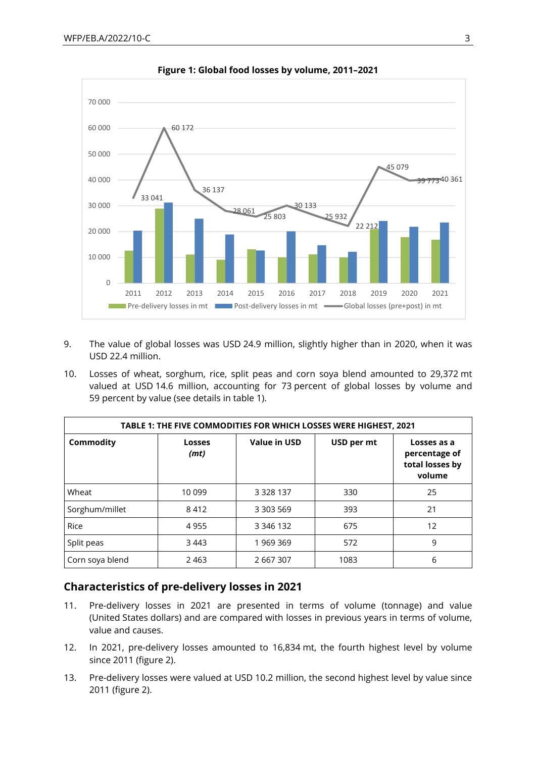

**Figure 1: Global food losses by volume, 2011–2021**

- 9. The value of global losses was USD 24.9 million, slightly higher than in 2020, when it was USD 22.4 million.
- 10. Losses of wheat, sorghum, rice, split peas and corn soya blend amounted to 29,372 mt valued at USD 14.6 million, accounting for 73 percent of global losses by volume and 59 percent by value (see details in table 1).

| TABLE 1: THE FIVE COMMODITIES FOR WHICH LOSSES WERE HIGHEST, 2021 |                       |                     |            |                                                           |  |  |  |
|-------------------------------------------------------------------|-----------------------|---------------------|------------|-----------------------------------------------------------|--|--|--|
| Commodity                                                         | <b>Losses</b><br>(mt) | <b>Value in USD</b> | USD per mt | Losses as a<br>percentage of<br>total losses by<br>volume |  |  |  |
| Wheat                                                             | 10 099                | 3 3 2 8 1 3 7       | 330        | 25                                                        |  |  |  |
| Sorghum/millet                                                    | 8412                  | 3 303 569           | 393        | 21                                                        |  |  |  |
| Rice                                                              | 4955                  | 3 3 4 6 1 3 2       | 675        | 12                                                        |  |  |  |
| Split peas                                                        | 3 4 4 3               | 1 969 369           | 572        | 9                                                         |  |  |  |
| Corn soya blend                                                   | 2463                  | 2 667 307           | 1083       | 6                                                         |  |  |  |

## **Characteristics of pre-delivery losses in 2021**

- 11. Pre-delivery losses in 2021 are presented in terms of volume (tonnage) and value (United States dollars) and are compared with losses in previous years in terms of volume, value and causes.
- 12. In 2021, pre-delivery losses amounted to 16,834 mt, the fourth highest level by volume since 2011 (figure 2).
- 13. Pre-delivery losses were valued at USD 10.2 million, the second highest level by value since 2011 (figure 2).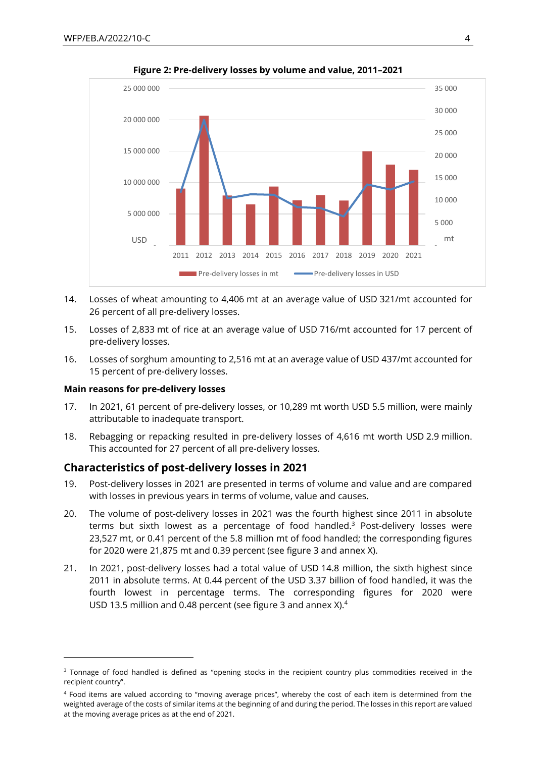

**Figure 2: Pre-delivery losses by volume and value, 2011–2021**

- 14. Losses of wheat amounting to 4,406 mt at an average value of USD 321/mt accounted for 26 percent of all pre-delivery losses.
- 15. Losses of 2,833 mt of rice at an average value of USD 716/mt accounted for 17 percent of pre-delivery losses.
- 16. Losses of sorghum amounting to 2,516 mt at an average value of USD 437/mt accounted for 15 percent of pre-delivery losses.

#### **Main reasons for pre-delivery losses**

- 17. In 2021, 61 percent of pre-delivery losses, or 10,289 mt worth USD 5.5 million, were mainly attributable to inadequate transport.
- 18. Rebagging or repacking resulted in pre-delivery losses of 4,616 mt worth USD 2.9 million. This accounted for 27 percent of all pre-delivery losses.

#### **Characteristics of post-delivery losses in 2021**

- 19. Post-delivery losses in 2021 are presented in terms of volume and value and are compared with losses in previous years in terms of volume, value and causes.
- 20. The volume of post-delivery losses in 2021 was the fourth highest since 2011 in absolute terms but sixth lowest as a percentage of food handled. $3$  Post-delivery losses were 23,527 mt, or 0.41 percent of the 5.8 million mt of food handled; the corresponding figures for 2020 were 21,875 mt and 0.39 percent (see figure 3 and annex X).
- 21. In 2021, post-delivery losses had a total value of USD 14.8 million, the sixth highest since 2011 in absolute terms. At 0.44 percent of the USD 3.37 billion of food handled, it was the fourth lowest in percentage terms. The corresponding figures for 2020 were USD 13.5 million and 0.48 percent (see figure 3 and annex X).<sup>4</sup>

<sup>&</sup>lt;sup>3</sup> Tonnage of food handled is defined as "opening stocks in the recipient country plus commodities received in the recipient country".

<sup>4</sup> Food items are valued according to "moving average prices", whereby the cost of each item is determined from the weighted average of the costs of similar items at the beginning of and during the period. The losses in this report are valued at the moving average prices as at the end of 2021.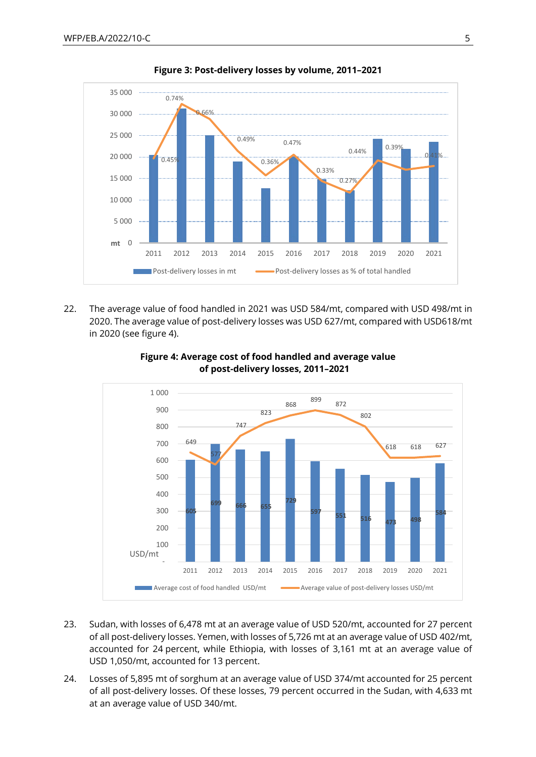

**Figure 3: Post-delivery losses by volume, 2011–2021**

22. The average value of food handled in 2021 was USD 584/mt, compared with USD 498/mt in 2020. The average value of post-delivery losses was USD 627/mt, compared with USD618/mt in 2020 (see figure 4).



**Figure 4: Average cost of food handled and average value of post***-***delivery losses, 2011–2021**

- 23. Sudan, with losses of 6,478 mt at an average value of USD 520/mt, accounted for 27 percent of all post-delivery losses. Yemen, with losses of 5,726 mt at an average value of USD 402/mt, accounted for 24 percent, while Ethiopia, with losses of 3,161 mt at an average value of USD 1,050/mt, accounted for 13 percent.
- 24. Losses of 5,895 mt of sorghum at an average value of USD 374/mt accounted for 25 percent of all post-delivery losses. Of these losses, 79 percent occurred in the Sudan, with 4,633 mt at an average value of USD 340/mt.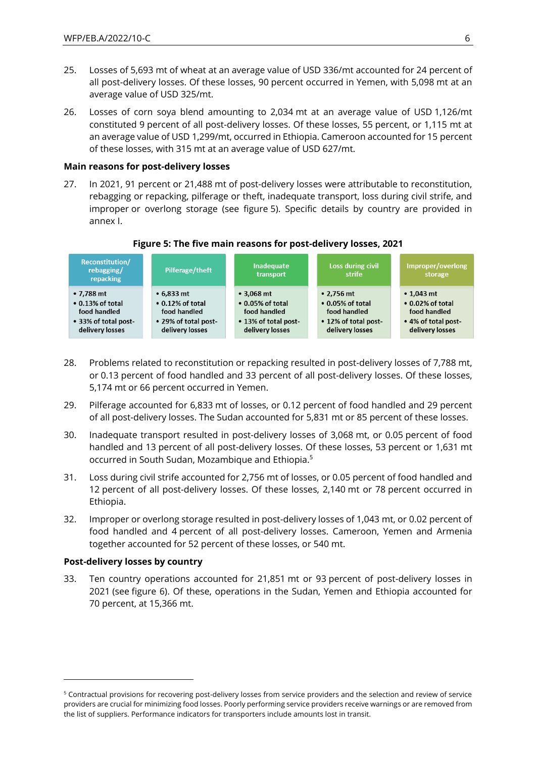- 25. Losses of 5,693 mt of wheat at an average value of USD 336/mt accounted for 24 percent of all post-delivery losses. Of these losses, 90 percent occurred in Yemen, with 5,098 mt at an average value of USD 325/mt.
- 26. Losses of corn soya blend amounting to 2,034 mt at an average value of USD 1,126/mt constituted 9 percent of all post-delivery losses. Of these losses, 55 percent, or 1,115 mt at an average value of USD 1,299/mt, occurred in Ethiopia. Cameroon accounted for 15 percent of these losses, with 315 mt at an average value of USD 627/mt.

#### **Main reasons for post-delivery losses**

27. In 2021, 91 percent or 21,488 mt of post-delivery losses were attributable to reconstitution, rebagging or repacking, pilferage or theft, inadequate transport, loss during civil strife, and improper or overlong storage (see figure 5). Specific details by country are provided in annex I.

#### **Reconstitution/ Inadequate Loss during civil** Improper/overlong **Pilferage/theft** rebagging/ transport strife storage repacking  $•7.788$  mt  $• 6.833 m t$  $•3.068$  mt  $• 2.756 mt$  $\cdot$  1.043 mt • 0.13% of total • 0.12% of total  $\bullet$  0.05% of total • 0.05% of total  $\cdot$  0.02% of total food handled food handled food handled food handled food handled • 33% of total post-. 29% of total post-• 13% of total post-• 12% of total post-. 4% of total postdelivery losses delivery losses delivery losses delivery losses delivery losses

#### **Figure 5: The five main reasons for post-delivery losses, 2021**

- 28. Problems related to reconstitution or repacking resulted in post-delivery losses of 7,788 mt, or 0.13 percent of food handled and 33 percent of all post-delivery losses. Of these losses, 5,174 mt or 66 percent occurred in Yemen.
- 29. Pilferage accounted for 6,833 mt of losses, or 0.12 percent of food handled and 29 percent of all post-delivery losses. The Sudan accounted for 5,831 mt or 85 percent of these losses.
- 30. Inadequate transport resulted in post-delivery losses of 3,068 mt, or 0.05 percent of food handled and 13 percent of all post-delivery losses. Of these losses, 53 percent or 1,631 mt occurred in South Sudan, Mozambique and Ethiopia.<sup>5</sup>
- 31. Loss during civil strife accounted for 2,756 mt of losses, or 0.05 percent of food handled and 12 percent of all post-delivery losses. Of these losses, 2,140 mt or 78 percent occurred in Ethiopia.
- 32. Improper or overlong storage resulted in post-delivery losses of 1,043 mt, or 0.02 percent of food handled and 4 percent of all post-delivery losses. Cameroon, Yemen and Armenia together accounted for 52 percent of these losses, or 540 mt.

#### **Post-delivery losses by country**

33. Ten country operations accounted for 21,851 mt or 93 percent of post-delivery losses in 2021 (see figure 6). Of these, operations in the Sudan, Yemen and Ethiopia accounted for 70 percent, at 15,366 mt.

<sup>&</sup>lt;sup>5</sup> Contractual provisions for recovering post-delivery losses from service providers and the selection and review of service providers are crucial for minimizing food losses. Poorly performing service providers receive warnings or are removed from the list of suppliers. Performance indicators for transporters include amounts lost in transit.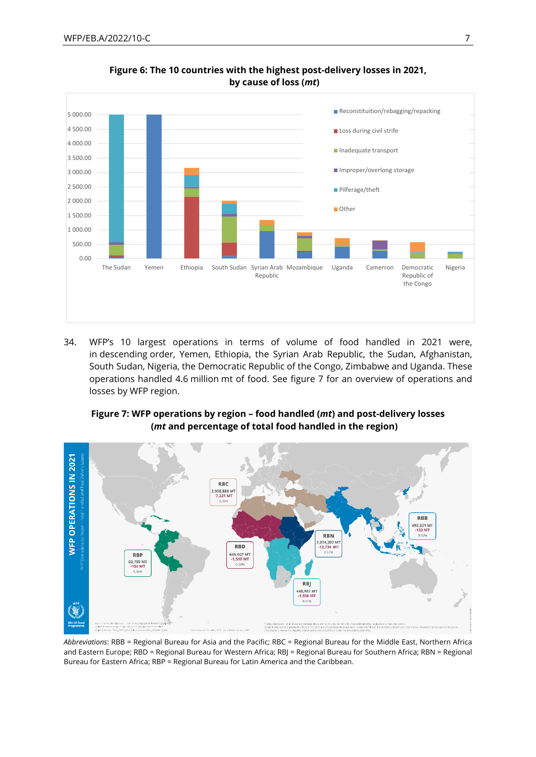

#### **Figure 6: The 10 countries with the highest post-delivery losses in 2021, by cause of loss (***mt***)**

34. WFP's 10 largest operations in terms of volume of food handled in 2021 were, in descending order, Yemen, Ethiopia, the Syrian Arab Republic, the Sudan, Afghanistan, South Sudan, Nigeria, the Democratic Republic of the Congo, Zimbabwe and Uganda. These operations handled 4.6 million mt of food. See figure 7 for an overview of operations and losses by WFP region.

#### **Figure 7: WFP operations by region – food handled (***mt***) and post-delivery losses (***mt* **and percentage of total food handled in the region)**



*Abbreviations*: RBB = Regional Bureau for Asia and the Pacific; RBC = Regional Bureau for the Middle East, Northern Africa and Eastern Europe; RBD = Regional Bureau for Western Africa; RBJ = Regional Bureau for Southern Africa; RBN = Regional Bureau for Eastern Africa; RBP = Regional Bureau for Latin America and the Caribbean.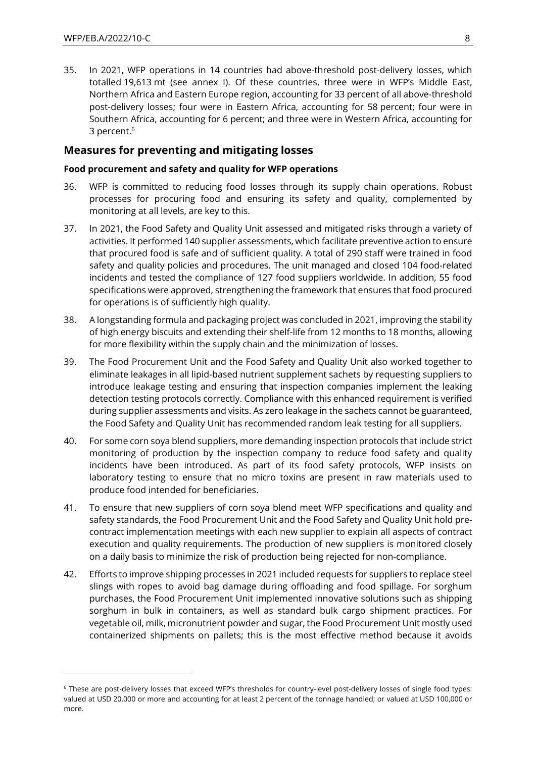35. In 2021, WFP operations in 14 countries had above-threshold post-delivery losses, which totalled 19,613 mt (see annex I). Of these countries, three were in WFP's Middle East, Northern Africa and Eastern Europe region, accounting for 33 percent of all above-threshold post-delivery losses; four were in Eastern Africa, accounting for 58 percent; four were in Southern Africa, accounting for 6 percent; and three were in Western Africa, accounting for 3 percent.<sup>6</sup>

#### **Measures for preventing and mitigating losses**

#### **Food procurement and safety and quality for WFP operations**

- 36. WFP is committed to reducing food losses through its supply chain operations. Robust processes for procuring food and ensuring its safety and quality, complemented by monitoring at all levels, are key to this.
- 37. In 2021, the Food Safety and Quality Unit assessed and mitigated risks through a variety of activities. It performed 140 supplier assessments, which facilitate preventive action to ensure that procured food is safe and of sufficient quality. A total of 290 staff were trained in food safety and quality policies and procedures. The unit managed and closed 104 food-related incidents and tested the compliance of 127 food suppliers worldwide. In addition, 55 food specifications were approved, strengthening the framework that ensures that food procured for operations is of sufficiently high quality.
- 38. A longstanding formula and packaging project was concluded in 2021, improving the stability of high energy biscuits and extending their shelf-life from 12 months to 18 months, allowing for more flexibility within the supply chain and the minimization of losses.
- 39. The Food Procurement Unit and the Food Safety and Quality Unit also worked together to eliminate leakages in all lipid-based nutrient supplement sachets by requesting suppliers to introduce leakage testing and ensuring that inspection companies implement the leaking detection testing protocols correctly. Compliance with this enhanced requirement is verified during supplier assessments and visits. As zero leakage in the sachets cannot be guaranteed, the Food Safety and Quality Unit has recommended random leak testing for all suppliers.
- 40. For some corn soya blend suppliers, more demanding inspection protocols that include strict monitoring of production by the inspection company to reduce food safety and quality incidents have been introduced. As part of its food safety protocols, WFP insists on laboratory testing to ensure that no micro toxins are present in raw materials used to produce food intended for beneficiaries.
- 41. To ensure that new suppliers of corn soya blend meet WFP specifications and quality and safety standards, the Food Procurement Unit and the Food Safety and Quality Unit hold precontract implementation meetings with each new supplier to explain all aspects of contract execution and quality requirements. The production of new suppliers is monitored closely on a daily basis to minimize the risk of production being rejected for non-compliance.
- 42. Efforts to improve shipping processes in 2021 included requests for suppliers to replace steel slings with ropes to avoid bag damage during offloading and food spillage. For sorghum purchases, the Food Procurement Unit implemented innovative solutions such as shipping sorghum in bulk in containers, as well as standard bulk cargo shipment practices. For vegetable oil, milk, micronutrient powder and sugar, the Food Procurement Unit mostly used containerized shipments on pallets; this is the most effective method because it avoids

<sup>6</sup> These are post-delivery losses that exceed WFP's thresholds for country-level post-delivery losses of single food types: valued at USD 20,000 or more and accounting for at least 2 percent of the tonnage handled; or valued at USD 100,000 or more.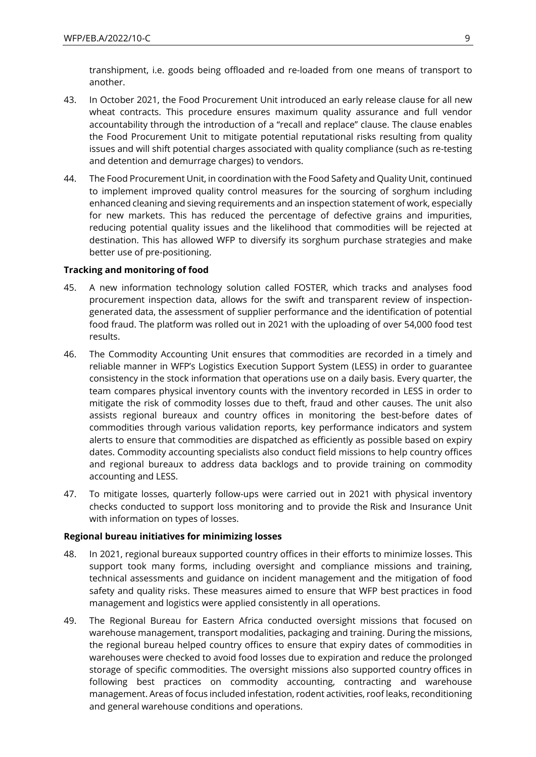transhipment, i.e. goods being offloaded and re-loaded from one means of transport to another.

- 43. In October 2021, the Food Procurement Unit introduced an early release clause for all new wheat contracts. This procedure ensures maximum quality assurance and full vendor accountability through the introduction of a "recall and replace" clause. The clause enables the Food Procurement Unit to mitigate potential reputational risks resulting from quality issues and will shift potential charges associated with quality compliance (such as re-testing and detention and demurrage charges) to vendors.
- 44. The Food Procurement Unit, in coordination with the Food Safety and Quality Unit, continued to implement improved quality control measures for the sourcing of sorghum including enhanced cleaning and sieving requirements and an inspection statement of work, especially for new markets. This has reduced the percentage of defective grains and impurities, reducing potential quality issues and the likelihood that commodities will be rejected at destination. This has allowed WFP to diversify its sorghum purchase strategies and make better use of pre-positioning.

#### **Tracking and monitoring of food**

- 45. A new information technology solution called FOSTER, which tracks and analyses food procurement inspection data, allows for the swift and transparent review of inspectiongenerated data, the assessment of supplier performance and the identification of potential food fraud. The platform was rolled out in 2021 with the uploading of over 54,000 food test results.
- 46. The Commodity Accounting Unit ensures that commodities are recorded in a timely and reliable manner in WFP's Logistics Execution Support System (LESS) in order to guarantee consistency in the stock information that operations use on a daily basis. Every quarter, the team compares physical inventory counts with the inventory recorded in LESS in order to mitigate the risk of commodity losses due to theft, fraud and other causes. The unit also assists regional bureaux and country offices in monitoring the best-before dates of commodities through various validation reports, key performance indicators and system alerts to ensure that commodities are dispatched as efficiently as possible based on expiry dates. Commodity accounting specialists also conduct field missions to help country offices and regional bureaux to address data backlogs and to provide training on commodity accounting and LESS.
- 47. To mitigate losses, quarterly follow-ups were carried out in 2021 with physical inventory checks conducted to support loss monitoring and to provide the Risk and Insurance Unit with information on types of losses.

#### **Regional bureau initiatives for minimizing losses**

- 48. In 2021, regional bureaux supported country offices in their efforts to minimize losses. This support took many forms, including oversight and compliance missions and training, technical assessments and guidance on incident management and the mitigation of food safety and quality risks. These measures aimed to ensure that WFP best practices in food management and logistics were applied consistently in all operations.
- 49. The Regional Bureau for Eastern Africa conducted oversight missions that focused on warehouse management, transport modalities, packaging and training. During the missions, the regional bureau helped country offices to ensure that expiry dates of commodities in warehouses were checked to avoid food losses due to expiration and reduce the prolonged storage of specific commodities. The oversight missions also supported country offices in following best practices on commodity accounting, contracting and warehouse management. Areas of focus included infestation, rodent activities, roof leaks, reconditioning and general warehouse conditions and operations.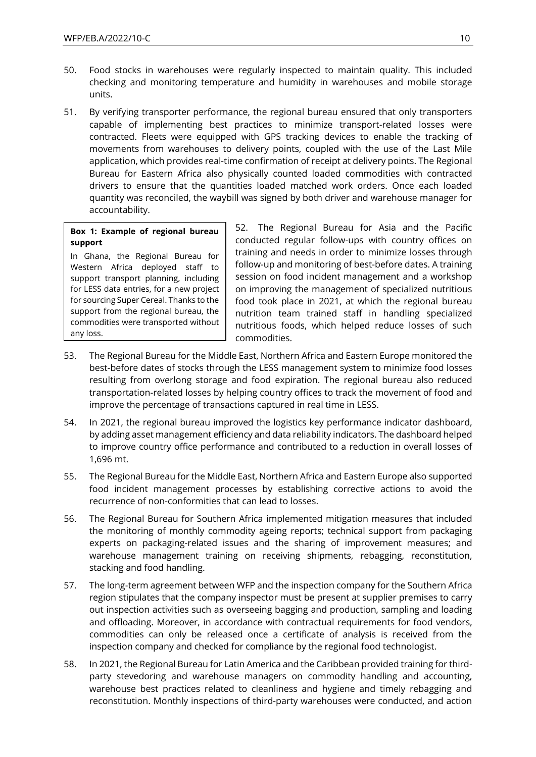- 50. Food stocks in warehouses were regularly inspected to maintain quality. This included checking and monitoring temperature and humidity in warehouses and mobile storage units.
- 51. By verifying transporter performance, the regional bureau ensured that only transporters capable of implementing best practices to minimize transport-related losses were contracted. Fleets were equipped with GPS tracking devices to enable the tracking of movements from warehouses to delivery points, coupled with the use of the Last Mile application, which provides real-time confirmation of receipt at delivery points. The Regional Bureau for Eastern Africa also physically counted loaded commodities with contracted drivers to ensure that the quantities loaded matched work orders. Once each loaded quantity was reconciled, the waybill was signed by both driver and warehouse manager for accountability.

#### **Box 1: Example of regional bureau support**

In Ghana, the Regional Bureau for Western Africa deployed staff to support transport planning, including for LESS data entries, for a new project for sourcing Super Cereal. Thanks to the support from the regional bureau, the commodities were transported without any loss.

52. The Regional Bureau for Asia and the Pacific conducted regular follow-ups with country offices on training and needs in order to minimize losses through follow-up and monitoring of best-before dates. A training session on food incident management and a workshop on improving the management of specialized nutritious food took place in 2021, at which the regional bureau nutrition team trained staff in handling specialized nutritious foods, which helped reduce losses of such commodities.

- 53. The Regional Bureau for the Middle East, Northern Africa and Eastern Europe monitored the best-before dates of stocks through the LESS management system to minimize food losses resulting from overlong storage and food expiration. The regional bureau also reduced transportation-related losses by helping country offices to track the movement of food and improve the percentage of transactions captured in real time in LESS.
- 54. In 2021, the regional bureau improved the logistics key performance indicator dashboard, by adding asset management efficiency and data reliability indicators. The dashboard helped to improve country office performance and contributed to a reduction in overall losses of 1,696 mt.
- 55. The Regional Bureau for the Middle East, Northern Africa and Eastern Europe also supported food incident management processes by establishing corrective actions to avoid the recurrence of non-conformities that can lead to losses.
- 56. The Regional Bureau for Southern Africa implemented mitigation measures that included the monitoring of monthly commodity ageing reports; technical support from packaging experts on packaging-related issues and the sharing of improvement measures; and warehouse management training on receiving shipments, rebagging, reconstitution, stacking and food handling.
- 57. The long-term agreement between WFP and the inspection company for the Southern Africa region stipulates that the company inspector must be present at supplier premises to carry out inspection activities such as overseeing bagging and production, sampling and loading and offloading. Moreover, in accordance with contractual requirements for food vendors, commodities can only be released once a certificate of analysis is received from the inspection company and checked for compliance by the regional food technologist.
- 58. In 2021, the Regional Bureau for Latin America and the Caribbean provided training for thirdparty stevedoring and warehouse managers on commodity handling and accounting, warehouse best practices related to cleanliness and hygiene and timely rebagging and reconstitution. Monthly inspections of third-party warehouses were conducted, and action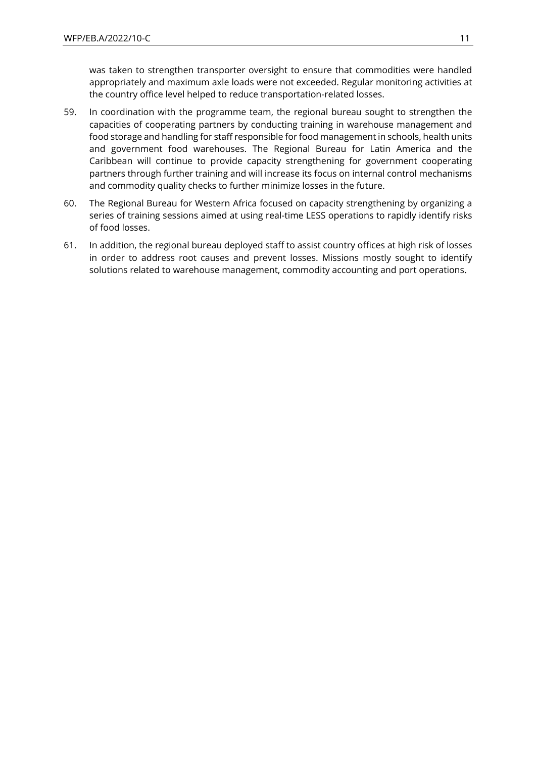was taken to strengthen transporter oversight to ensure that commodities were handled appropriately and maximum axle loads were not exceeded. Regular monitoring activities at the country office level helped to reduce transportation-related losses.

- 59. In coordination with the programme team, the regional bureau sought to strengthen the capacities of cooperating partners by conducting training in warehouse management and food storage and handling for staff responsible for food management in schools, health units and government food warehouses. The Regional Bureau for Latin America and the Caribbean will continue to provide capacity strengthening for government cooperating partners through further training and will increase its focus on internal control mechanisms and commodity quality checks to further minimize losses in the future.
- 60. The Regional Bureau for Western Africa focused on capacity strengthening by organizing a series of training sessions aimed at using real-time LESS operations to rapidly identify risks of food losses.
- 61. In addition, the regional bureau deployed staff to assist country offices at high risk of losses in order to address root causes and prevent losses. Missions mostly sought to identify solutions related to warehouse management, commodity accounting and port operations.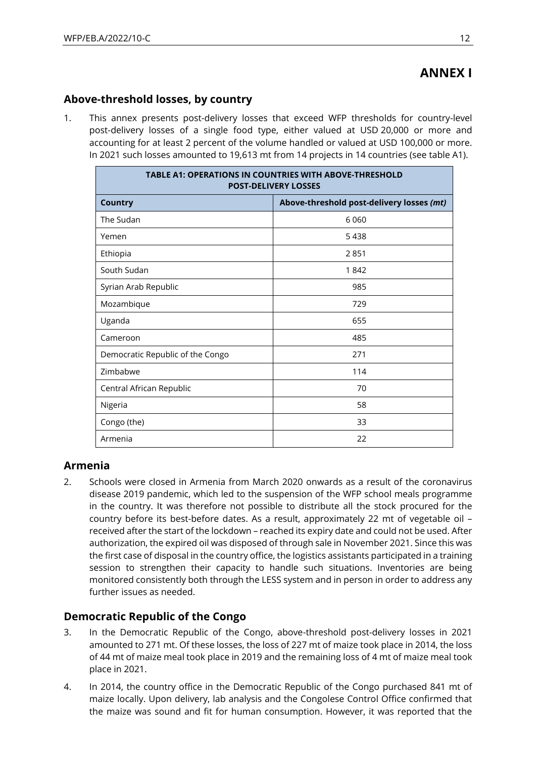# **ANNEX I**

## **Above-threshold losses, by country**

1. This annex presents post-delivery losses that exceed WFP thresholds for country-level post-delivery losses of a single food type, either valued at USD 20,000 or more and accounting for at least 2 percent of the volume handled or valued at USD 100,000 or more. In 2021 such losses amounted to 19,613 mt from 14 projects in 14 countries (see table A1).

| <b>TABLE A1: OPERATIONS IN COUNTRIES WITH ABOVE-THRESHOLD</b><br><b>POST-DELIVERY LOSSES</b> |                                           |  |  |  |  |
|----------------------------------------------------------------------------------------------|-------------------------------------------|--|--|--|--|
| <b>Country</b>                                                                               | Above-threshold post-delivery losses (mt) |  |  |  |  |
| The Sudan                                                                                    | 6 0 6 0                                   |  |  |  |  |
| Yemen                                                                                        | 5438                                      |  |  |  |  |
| Ethiopia                                                                                     | 2851                                      |  |  |  |  |
| South Sudan                                                                                  | 1842                                      |  |  |  |  |
| Syrian Arab Republic                                                                         | 985                                       |  |  |  |  |
| Mozambique                                                                                   | 729                                       |  |  |  |  |
| Uganda                                                                                       | 655                                       |  |  |  |  |
| Cameroon                                                                                     | 485                                       |  |  |  |  |
| Democratic Republic of the Congo                                                             | 271                                       |  |  |  |  |
| Zimbabwe                                                                                     | 114                                       |  |  |  |  |
| Central African Republic                                                                     | 70                                        |  |  |  |  |
| Nigeria                                                                                      | 58                                        |  |  |  |  |
| Congo (the)                                                                                  | 33                                        |  |  |  |  |
| Armenia                                                                                      | 22                                        |  |  |  |  |

## **Armenia**

2. Schools were closed in Armenia from March 2020 onwards as a result of the coronavirus disease 2019 pandemic, which led to the suspension of the WFP school meals programme in the country. It was therefore not possible to distribute all the stock procured for the country before its best-before dates. As a result, approximately 22 mt of vegetable oil – received after the start of the lockdown – reached its expiry date and could not be used. After authorization, the expired oil was disposed of through sale in November 2021. Since this was the first case of disposal in the country office, the logistics assistants participated in a training session to strengthen their capacity to handle such situations. Inventories are being monitored consistently both through the LESS system and in person in order to address any further issues as needed.

## **Democratic Republic of the Congo**

- 3. In the Democratic Republic of the Congo, above-threshold post-delivery losses in 2021 amounted to 271 mt. Of these losses, the loss of 227 mt of maize took place in 2014, the loss of 44 mt of maize meal took place in 2019 and the remaining loss of 4 mt of maize meal took place in 2021.
- 4. In 2014, the country office in the Democratic Republic of the Congo purchased 841 mt of maize locally. Upon delivery, lab analysis and the Congolese Control Office confirmed that the maize was sound and fit for human consumption. However, it was reported that the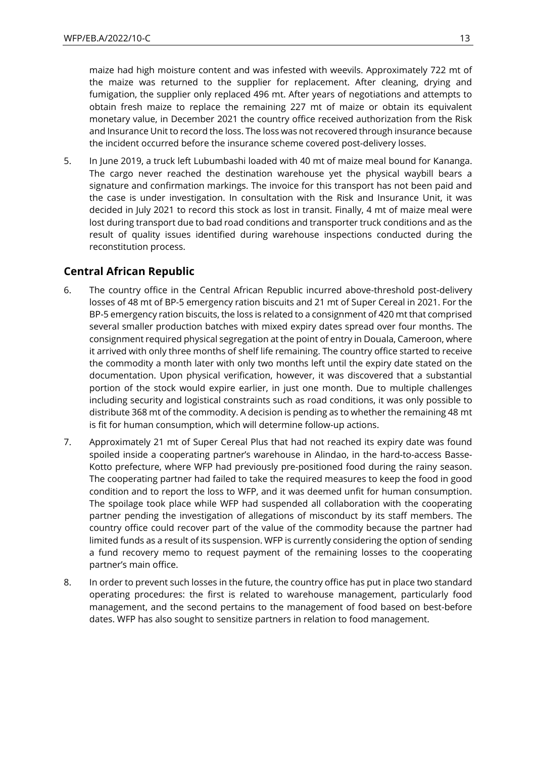maize had high moisture content and was infested with weevils. Approximately 722 mt of the maize was returned to the supplier for replacement. After cleaning, drying and fumigation, the supplier only replaced 496 mt. After years of negotiations and attempts to obtain fresh maize to replace the remaining 227 mt of maize or obtain its equivalent monetary value, in December 2021 the country office received authorization from the Risk and Insurance Unit to record the loss. The loss was not recovered through insurance because the incident occurred before the insurance scheme covered post-delivery losses.

5. In June 2019, a truck left Lubumbashi loaded with 40 mt of maize meal bound for Kananga. The cargo never reached the destination warehouse yet the physical waybill bears a signature and confirmation markings. The invoice for this transport has not been paid and the case is under investigation. In consultation with the Risk and Insurance Unit, it was decided in July 2021 to record this stock as lost in transit. Finally, 4 mt of maize meal were lost during transport due to bad road conditions and transporter truck conditions and as the result of quality issues identified during warehouse inspections conducted during the reconstitution process.

## **Central African Republic**

- 6. The country office in the Central African Republic incurred above-threshold post-delivery losses of 48 mt of BP-5 emergency ration biscuits and 21 mt of Super Cereal in 2021. For the BP-5 emergency ration biscuits, the loss is related to a consignment of 420 mt that comprised several smaller production batches with mixed expiry dates spread over four months. The consignment required physical segregation at the point of entry in Douala, Cameroon, where it arrived with only three months of shelf life remaining. The country office started to receive the commodity a month later with only two months left until the expiry date stated on the documentation. Upon physical verification, however, it was discovered that a substantial portion of the stock would expire earlier, in just one month. Due to multiple challenges including security and logistical constraints such as road conditions, it was only possible to distribute 368 mt of the commodity. A decision is pending as to whether the remaining 48 mt is fit for human consumption, which will determine follow-up actions.
- 7. Approximately 21 mt of Super Cereal Plus that had not reached its expiry date was found spoiled inside a cooperating partner's warehouse in Alindao, in the hard-to-access Basse-Kotto prefecture, where WFP had previously pre-positioned food during the rainy season. The cooperating partner had failed to take the required measures to keep the food in good condition and to report the loss to WFP, and it was deemed unfit for human consumption. The spoilage took place while WFP had suspended all collaboration with the cooperating partner pending the investigation of allegations of misconduct by its staff members. The country office could recover part of the value of the commodity because the partner had limited funds as a result of its suspension. WFP is currently considering the option of sending a fund recovery memo to request payment of the remaining losses to the cooperating partner's main office.
- 8. In order to prevent such losses in the future, the country office has put in place two standard operating procedures: the first is related to warehouse management, particularly food management, and the second pertains to the management of food based on best-before dates. WFP has also sought to sensitize partners in relation to food management.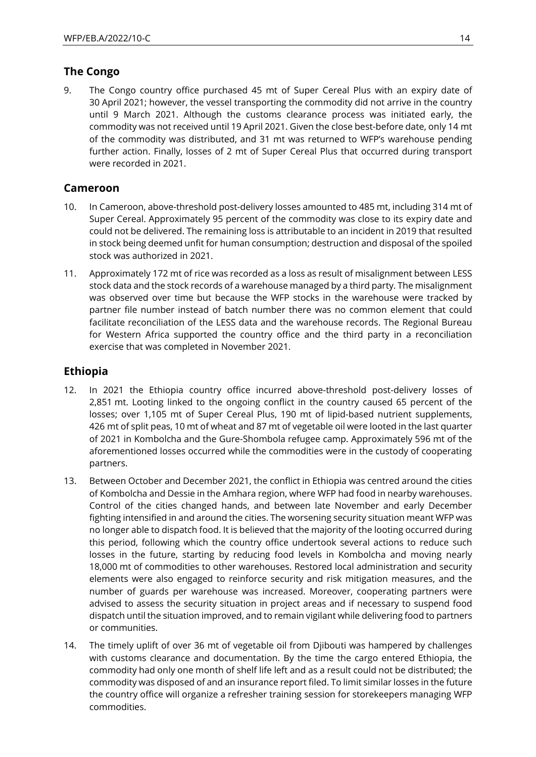## **The Congo**

9. The Congo country office purchased 45 mt of Super Cereal Plus with an expiry date of 30 April 2021; however, the vessel transporting the commodity did not arrive in the country until 9 March 2021. Although the customs clearance process was initiated early, the commodity was not received until 19 April 2021. Given the close best-before date, only 14 mt of the commodity was distributed, and 31 mt was returned to WFP's warehouse pending further action. Finally, losses of 2 mt of Super Cereal Plus that occurred during transport were recorded in 2021.

## **Cameroon**

- 10. In Cameroon, above-threshold post-delivery losses amounted to 485 mt, including 314 mt of Super Cereal. Approximately 95 percent of the commodity was close to its expiry date and could not be delivered. The remaining loss is attributable to an incident in 2019 that resulted in stock being deemed unfit for human consumption; destruction and disposal of the spoiled stock was authorized in 2021.
- 11. Approximately 172 mt of rice was recorded as a loss as result of misalignment between LESS stock data and the stock records of a warehouse managed by a third party. The misalignment was observed over time but because the WFP stocks in the warehouse were tracked by partner file number instead of batch number there was no common element that could facilitate reconciliation of the LESS data and the warehouse records. The Regional Bureau for Western Africa supported the country office and the third party in a reconciliation exercise that was completed in November 2021.

## **Ethiopia**

- 12. In 2021 the Ethiopia country office incurred above-threshold post-delivery losses of 2,851 mt. Looting linked to the ongoing conflict in the country caused 65 percent of the losses; over 1,105 mt of Super Cereal Plus, 190 mt of lipid-based nutrient supplements, 426 mt of split peas, 10 mt of wheat and 87 mt of vegetable oil were looted in the last quarter of 2021 in Kombolcha and the Gure-Shombola refugee camp. Approximately 596 mt of the aforementioned losses occurred while the commodities were in the custody of cooperating partners.
- 13. Between October and December 2021, the conflict in Ethiopia was centred around the cities of Kombolcha and Dessie in the Amhara region, where WFP had food in nearby warehouses. Control of the cities changed hands, and between late November and early December fighting intensified in and around the cities. The worsening security situation meant WFP was no longer able to dispatch food. It is believed that the majority of the looting occurred during this period, following which the country office undertook several actions to reduce such losses in the future, starting by reducing food levels in Kombolcha and moving nearly 18,000 mt of commodities to other warehouses. Restored local administration and security elements were also engaged to reinforce security and risk mitigation measures, and the number of guards per warehouse was increased. Moreover, cooperating partners were advised to assess the security situation in project areas and if necessary to suspend food dispatch until the situation improved, and to remain vigilant while delivering food to partners or communities.
- 14. The timely uplift of over 36 mt of vegetable oil from Djibouti was hampered by challenges with customs clearance and documentation. By the time the cargo entered Ethiopia, the commodity had only one month of shelf life left and as a result could not be distributed; the commodity was disposed of and an insurance report filed. To limit similar losses in the future the country office will organize a refresher training session for storekeepers managing WFP commodities.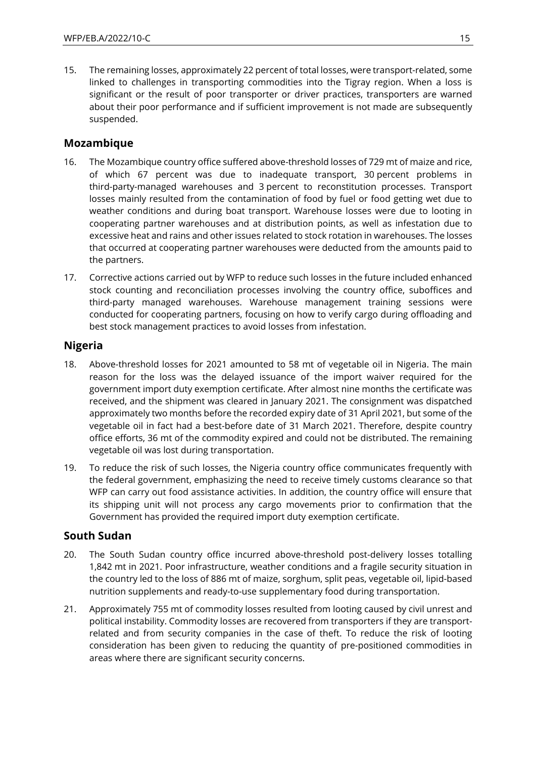15. The remaining losses, approximately 22 percent of total losses, were transport-related, some linked to challenges in transporting commodities into the Tigray region. When a loss is significant or the result of poor transporter or driver practices, transporters are warned about their poor performance and if sufficient improvement is not made are subsequently suspended.

#### **Mozambique**

- 16. The Mozambique country office suffered above-threshold losses of 729 mt of maize and rice, of which 67 percent was due to inadequate transport, 30 percent problems in third-party-managed warehouses and 3 percent to reconstitution processes. Transport losses mainly resulted from the contamination of food by fuel or food getting wet due to weather conditions and during boat transport. Warehouse losses were due to looting in cooperating partner warehouses and at distribution points, as well as infestation due to excessive heat and rains and other issues related to stock rotation in warehouses. The losses that occurred at cooperating partner warehouses were deducted from the amounts paid to the partners.
- 17. Corrective actions carried out by WFP to reduce such losses in the future included enhanced stock counting and reconciliation processes involving the country office, suboffices and third-party managed warehouses. Warehouse management training sessions were conducted for cooperating partners, focusing on how to verify cargo during offloading and best stock management practices to avoid losses from infestation.

#### **Nigeria**

- 18. Above-threshold losses for 2021 amounted to 58 mt of vegetable oil in Nigeria. The main reason for the loss was the delayed issuance of the import waiver required for the government import duty exemption certificate. After almost nine months the certificate was received, and the shipment was cleared in January 2021. The consignment was dispatched approximately two months before the recorded expiry date of 31 April 2021, but some of the vegetable oil in fact had a best-before date of 31 March 2021. Therefore, despite country office efforts, 36 mt of the commodity expired and could not be distributed. The remaining vegetable oil was lost during transportation.
- 19. To reduce the risk of such losses, the Nigeria country office communicates frequently with the federal government, emphasizing the need to receive timely customs clearance so that WFP can carry out food assistance activities. In addition, the country office will ensure that its shipping unit will not process any cargo movements prior to confirmation that the Government has provided the required import duty exemption certificate.

#### **South Sudan**

- 20. The South Sudan country office incurred above-threshold post-delivery losses totalling 1,842 mt in 2021. Poor infrastructure, weather conditions and a fragile security situation in the country led to the loss of 886 mt of maize, sorghum, split peas, vegetable oil, lipid-based nutrition supplements and ready-to-use supplementary food during transportation.
- 21. Approximately 755 mt of commodity losses resulted from looting caused by civil unrest and political instability. Commodity losses are recovered from transporters if they are transportrelated and from security companies in the case of theft. To reduce the risk of looting consideration has been given to reducing the quantity of pre-positioned commodities in areas where there are significant security concerns.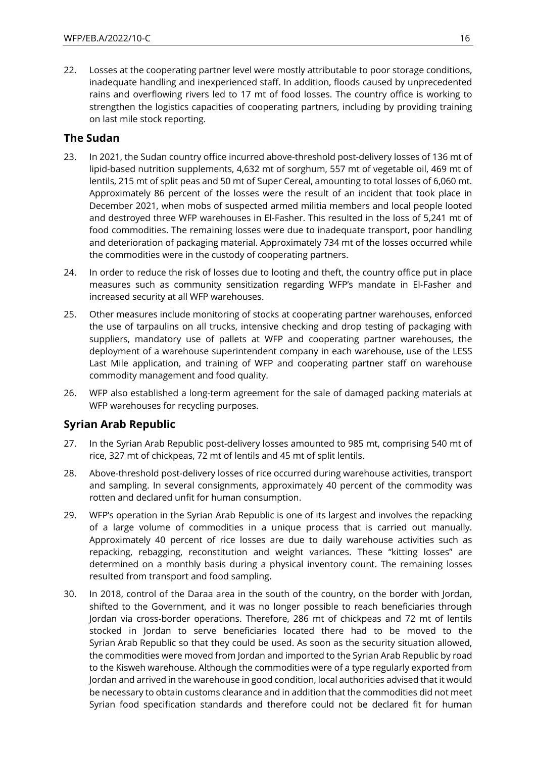22. Losses at the cooperating partner level were mostly attributable to poor storage conditions, inadequate handling and inexperienced staff. In addition, floods caused by unprecedented rains and overflowing rivers led to 17 mt of food losses. The country office is working to strengthen the logistics capacities of cooperating partners, including by providing training on last mile stock reporting.

#### **The Sudan**

- 23. In 2021, the Sudan country office incurred above-threshold post-delivery losses of 136 mt of lipid-based nutrition supplements, 4,632 mt of sorghum, 557 mt of vegetable oil, 469 mt of lentils, 215 mt of split peas and 50 mt of Super Cereal, amounting to total losses of 6,060 mt. Approximately 86 percent of the losses were the result of an incident that took place in December 2021, when mobs of suspected armed militia members and local people looted and destroyed three WFP warehouses in El-Fasher. This resulted in the loss of 5,241 mt of food commodities. The remaining losses were due to inadequate transport, poor handling and deterioration of packaging material. Approximately 734 mt of the losses occurred while the commodities were in the custody of cooperating partners.
- 24. In order to reduce the risk of losses due to looting and theft, the country office put in place measures such as community sensitization regarding WFP's mandate in El-Fasher and increased security at all WFP warehouses.
- 25. Other measures include monitoring of stocks at cooperating partner warehouses, enforced the use of tarpaulins on all trucks, intensive checking and drop testing of packaging with suppliers, mandatory use of pallets at WFP and cooperating partner warehouses, the deployment of a warehouse superintendent company in each warehouse, use of the LESS Last Mile application, and training of WFP and cooperating partner staff on warehouse commodity management and food quality.
- 26. WFP also established a long-term agreement for the sale of damaged packing materials at WFP warehouses for recycling purposes.

## **Syrian Arab Republic**

- 27. In the Syrian Arab Republic post-delivery losses amounted to 985 mt, comprising 540 mt of rice, 327 mt of chickpeas, 72 mt of lentils and 45 mt of split lentils.
- 28. Above-threshold post-delivery losses of rice occurred during warehouse activities, transport and sampling. In several consignments, approximately 40 percent of the commodity was rotten and declared unfit for human consumption.
- 29. WFP's operation in the Syrian Arab Republic is one of its largest and involves the repacking of a large volume of commodities in a unique process that is carried out manually. Approximately 40 percent of rice losses are due to daily warehouse activities such as repacking, rebagging, reconstitution and weight variances. These "kitting losses" are determined on a monthly basis during a physical inventory count. The remaining losses resulted from transport and food sampling.
- 30. In 2018, control of the Daraa area in the south of the country, on the border with Jordan, shifted to the Government, and it was no longer possible to reach beneficiaries through Jordan via cross-border operations. Therefore, 286 mt of chickpeas and 72 mt of lentils stocked in Jordan to serve beneficiaries located there had to be moved to the Syrian Arab Republic so that they could be used. As soon as the security situation allowed, the commodities were moved from Jordan and imported to the Syrian Arab Republic by road to the Kisweh warehouse. Although the commodities were of a type regularly exported from Jordan and arrived in the warehouse in good condition, local authorities advised that it would be necessary to obtain customs clearance and in addition that the commodities did not meet Syrian food specification standards and therefore could not be declared fit for human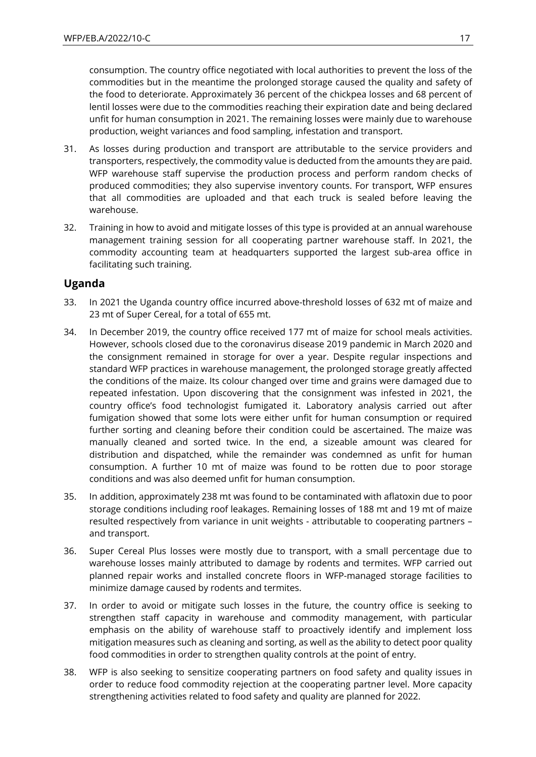consumption. The country office negotiated with local authorities to prevent the loss of the commodities but in the meantime the prolonged storage caused the quality and safety of the food to deteriorate. Approximately 36 percent of the chickpea losses and 68 percent of lentil losses were due to the commodities reaching their expiration date and being declared unfit for human consumption in 2021. The remaining losses were mainly due to warehouse production, weight variances and food sampling, infestation and transport.

- 31. As losses during production and transport are attributable to the service providers and transporters, respectively, the commodity value is deducted from the amounts they are paid. WFP warehouse staff supervise the production process and perform random checks of produced commodities; they also supervise inventory counts. For transport, WFP ensures that all commodities are uploaded and that each truck is sealed before leaving the warehouse.
- 32. Training in how to avoid and mitigate losses of this type is provided at an annual warehouse management training session for all cooperating partner warehouse staff. In 2021, the commodity accounting team at headquarters supported the largest sub-area office in facilitating such training.

#### **Uganda**

- 33. In 2021 the Uganda country office incurred above-threshold losses of 632 mt of maize and 23 mt of Super Cereal, for a total of 655 mt.
- 34. In December 2019, the country office received 177 mt of maize for school meals activities. However, schools closed due to the coronavirus disease 2019 pandemic in March 2020 and the consignment remained in storage for over a year. Despite regular inspections and standard WFP practices in warehouse management, the prolonged storage greatly affected the conditions of the maize. Its colour changed over time and grains were damaged due to repeated infestation. Upon discovering that the consignment was infested in 2021, the country office's food technologist fumigated it. Laboratory analysis carried out after fumigation showed that some lots were either unfit for human consumption or required further sorting and cleaning before their condition could be ascertained. The maize was manually cleaned and sorted twice. In the end, a sizeable amount was cleared for distribution and dispatched, while the remainder was condemned as unfit for human consumption. A further 10 mt of maize was found to be rotten due to poor storage conditions and was also deemed unfit for human consumption.
- 35. In addition, approximately 238 mt was found to be contaminated with aflatoxin due to poor storage conditions including roof leakages. Remaining losses of 188 mt and 19 mt of maize resulted respectively from variance in unit weights - attributable to cooperating partners – and transport.
- 36. Super Cereal Plus losses were mostly due to transport, with a small percentage due to warehouse losses mainly attributed to damage by rodents and termites. WFP carried out planned repair works and installed concrete floors in WFP-managed storage facilities to minimize damage caused by rodents and termites.
- 37. In order to avoid or mitigate such losses in the future, the country office is seeking to strengthen staff capacity in warehouse and commodity management, with particular emphasis on the ability of warehouse staff to proactively identify and implement loss mitigation measures such as cleaning and sorting, as well as the ability to detect poor quality food commodities in order to strengthen quality controls at the point of entry.
- 38. WFP is also seeking to sensitize cooperating partners on food safety and quality issues in order to reduce food commodity rejection at the cooperating partner level. More capacity strengthening activities related to food safety and quality are planned for 2022.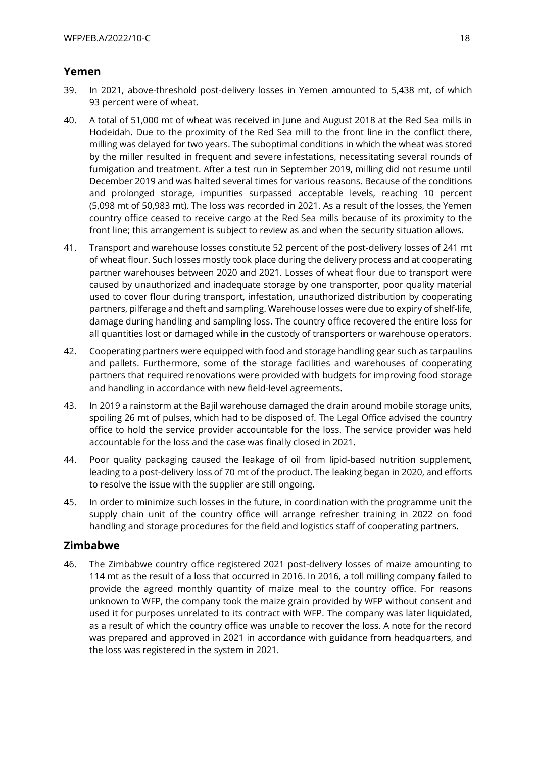#### **Yemen**

- 39. In 2021, above-threshold post-delivery losses in Yemen amounted to 5,438 mt, of which 93 percent were of wheat.
- 40. A total of 51,000 mt of wheat was received in June and August 2018 at the Red Sea mills in Hodeidah. Due to the proximity of the Red Sea mill to the front line in the conflict there, milling was delayed for two years. The suboptimal conditions in which the wheat was stored by the miller resulted in frequent and severe infestations, necessitating several rounds of fumigation and treatment. After a test run in September 2019, milling did not resume until December 2019 and was halted several times for various reasons. Because of the conditions and prolonged storage, impurities surpassed acceptable levels, reaching 10 percent (5,098 mt of 50,983 mt). The loss was recorded in 2021. As a result of the losses, the Yemen country office ceased to receive cargo at the Red Sea mills because of its proximity to the front line; this arrangement is subject to review as and when the security situation allows.
- 41. Transport and warehouse losses constitute 52 percent of the post-delivery losses of 241 mt of wheat flour. Such losses mostly took place during the delivery process and at cooperating partner warehouses between 2020 and 2021. Losses of wheat flour due to transport were caused by unauthorized and inadequate storage by one transporter, poor quality material used to cover flour during transport, infestation, unauthorized distribution by cooperating partners, pilferage and theft and sampling. Warehouse losses were due to expiry of shelf-life, damage during handling and sampling loss. The country office recovered the entire loss for all quantities lost or damaged while in the custody of transporters or warehouse operators.
- 42. Cooperating partners were equipped with food and storage handling gear such as tarpaulins and pallets. Furthermore, some of the storage facilities and warehouses of cooperating partners that required renovations were provided with budgets for improving food storage and handling in accordance with new field-level agreements.
- 43. In 2019 a rainstorm at the Bajil warehouse damaged the drain around mobile storage units, spoiling 26 mt of pulses, which had to be disposed of. The Legal Office advised the country office to hold the service provider accountable for the loss. The service provider was held accountable for the loss and the case was finally closed in 2021.
- 44. Poor quality packaging caused the leakage of oil from lipid-based nutrition supplement, leading to a post-delivery loss of 70 mt of the product. The leaking began in 2020, and efforts to resolve the issue with the supplier are still ongoing.
- 45. In order to minimize such losses in the future, in coordination with the programme unit the supply chain unit of the country office will arrange refresher training in 2022 on food handling and storage procedures for the field and logistics staff of cooperating partners.

#### **Zimbabwe**

46. The Zimbabwe country office registered 2021 post-delivery losses of maize amounting to 114 mt as the result of a loss that occurred in 2016. In 2016, a toll milling company failed to provide the agreed monthly quantity of maize meal to the country office. For reasons unknown to WFP, the company took the maize grain provided by WFP without consent and used it for purposes unrelated to its contract with WFP. The company was later liquidated, as a result of which the country office was unable to recover the loss. A note for the record was prepared and approved in 2021 in accordance with guidance from headquarters, and the loss was registered in the system in 2021.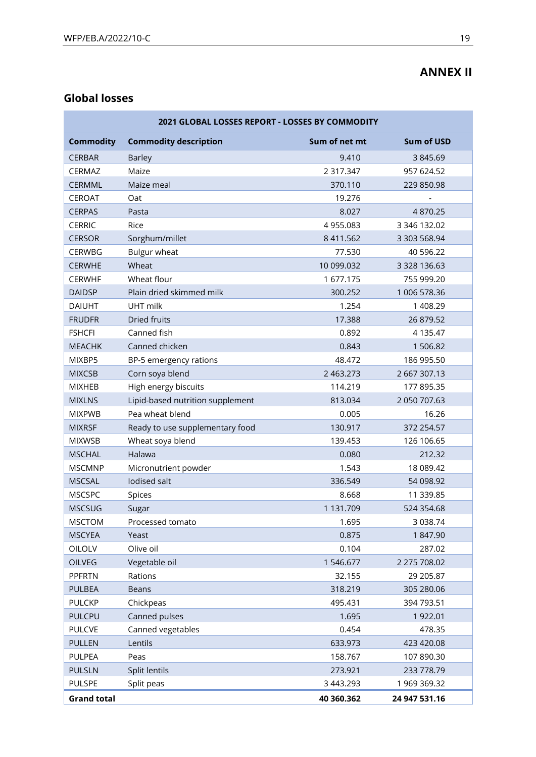## **ANNEX II**

## **Global losses**

| 2021 GLOBAL LOSSES REPORT - LOSSES BY COMMODITY |                                  |               |                   |  |  |
|-------------------------------------------------|----------------------------------|---------------|-------------------|--|--|
| <b>Commodity</b>                                | <b>Commodity description</b>     | Sum of net mt | <b>Sum of USD</b> |  |  |
| <b>CERBAR</b>                                   | <b>Barley</b>                    | 9.410         | 3 845.69          |  |  |
| CERMAZ                                          | Maize                            | 2 317.347     | 957 624.52        |  |  |
| <b>CERMML</b>                                   | Maize meal                       | 370.110       | 229 850.98        |  |  |
| CEROAT                                          | Oat                              | 19.276        |                   |  |  |
| <b>CERPAS</b>                                   | Pasta                            | 8.027         | 4870.25           |  |  |
| <b>CERRIC</b>                                   | Rice                             | 4 955.083     | 3 346 132.02      |  |  |
| <b>CERSOR</b>                                   | Sorghum/millet                   | 8 411.562     | 3 303 568.94      |  |  |
| CERWBG                                          | <b>Bulgur wheat</b>              | 77.530        | 40 596.22         |  |  |
| <b>CERWHE</b>                                   | Wheat                            | 10 099.032    | 3 328 136.63      |  |  |
| <b>CERWHF</b>                                   | Wheat flour                      | 1 677.175     | 755 999.20        |  |  |
| <b>DAIDSP</b>                                   | Plain dried skimmed milk         | 300.252       | 1 006 578.36      |  |  |
| <b>DAIUHT</b>                                   | <b>UHT</b> milk                  | 1.254         | 1 408.29          |  |  |
| <b>FRUDFR</b>                                   | Dried fruits                     | 17.388        | 26 879.52         |  |  |
| <b>FSHCFI</b>                                   | Canned fish                      | 0.892         | 4 135.47          |  |  |
| <b>MEACHK</b>                                   | Canned chicken                   | 0.843         | 1 506.82          |  |  |
| MIXBP5                                          | BP-5 emergency rations           | 48.472        | 186 995.50        |  |  |
| <b>MIXCSB</b>                                   | Corn soya blend                  | 2 463.273     | 2 667 307.13      |  |  |
| <b>MIXHEB</b>                                   | High energy biscuits             | 114.219       | 177 895.35        |  |  |
| <b>MIXLNS</b>                                   | Lipid-based nutrition supplement | 813.034       | 2 050 707.63      |  |  |
| <b>MIXPWB</b>                                   | Pea wheat blend                  | 0.005         | 16.26             |  |  |
| <b>MIXRSF</b>                                   | Ready to use supplementary food  | 130.917       | 372 254.57        |  |  |
| <b>MIXWSB</b>                                   | Wheat soya blend                 | 139.453       | 126 106.65        |  |  |
| <b>MSCHAL</b>                                   | Halawa                           | 0.080         | 212.32            |  |  |
| <b>MSCMNP</b>                                   | Micronutrient powder             | 1.543         | 18 089.42         |  |  |
| <b>MSCSAL</b>                                   | lodised salt                     | 336.549       | 54 098.92         |  |  |
| <b>MSCSPC</b>                                   | Spices                           | 8.668         | 11 339.85         |  |  |
| <b>MSCSUG</b>                                   | Sugar                            | 1 131.709     | 524 354.68        |  |  |
| <b>MSCTOM</b>                                   | Processed tomato                 | 1.695         | 3 0 38.74         |  |  |
| <b>MSCYEA</b>                                   | Yeast                            | 0.875         | 1847.90           |  |  |
| OILOLV                                          | Olive oil                        | 0.104         | 287.02            |  |  |
| OILVEG                                          | Vegetable oil                    | 1 546.677     | 2 275 708.02      |  |  |
| <b>PPFRTN</b>                                   | Rations                          | 32.155        | 29 205.87         |  |  |
| <b>PULBEA</b>                                   | <b>Beans</b>                     | 318.219       | 305 280.06        |  |  |
| <b>PULCKP</b>                                   | Chickpeas                        | 495.431       | 394 793.51        |  |  |
| <b>PULCPU</b>                                   | Canned pulses                    | 1.695         | 1922.01           |  |  |
| <b>PULCVE</b>                                   | Canned vegetables                | 0.454         | 478.35            |  |  |
| <b>PULLEN</b>                                   | Lentils                          | 633.973       | 423 420.08        |  |  |
| PULPEA                                          | Peas                             | 158.767       | 107 890.30        |  |  |
| <b>PULSLN</b>                                   | Split lentils                    | 273.921       | 233 778.79        |  |  |
| <b>PULSPE</b>                                   | Split peas                       | 3 443.293     | 1 969 369.32      |  |  |
| <b>Grand total</b>                              |                                  | 40 360.362    | 24 947 531.16     |  |  |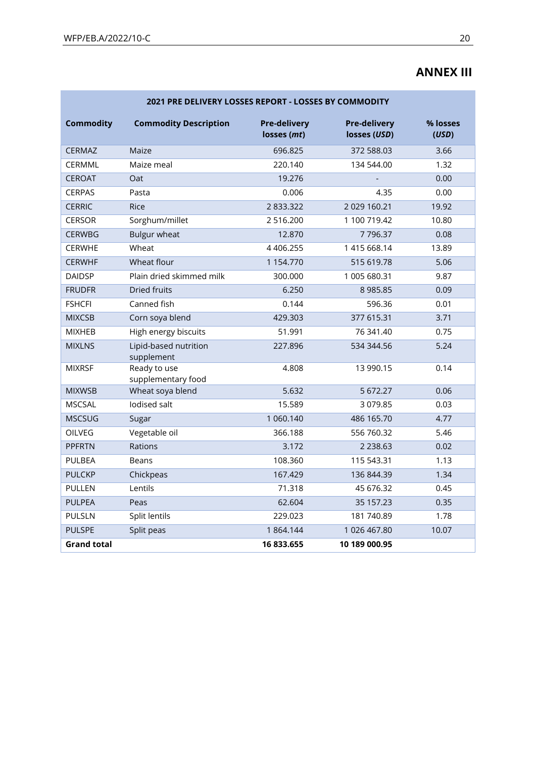## **ANNEX III**

| 2021 PRE DELIVERY LOSSES REPORT - LOSSES BY COMMODITY |                                     |                                    |                                     |                   |  |  |  |
|-------------------------------------------------------|-------------------------------------|------------------------------------|-------------------------------------|-------------------|--|--|--|
| <b>Commodity</b>                                      | <b>Commodity Description</b>        | <b>Pre-delivery</b><br>losses (mt) | <b>Pre-delivery</b><br>losses (USD) | % losses<br>(USD) |  |  |  |
| CERMAZ                                                | Maize                               | 696.825                            | 372 588.03                          | 3.66              |  |  |  |
| CERMML                                                | Maize meal                          | 220.140                            | 134 544.00                          | 1.32              |  |  |  |
| <b>CEROAT</b>                                         | Oat                                 | 19.276                             |                                     | 0.00              |  |  |  |
| <b>CERPAS</b>                                         | Pasta                               | 0.006                              | 4.35                                | 0.00              |  |  |  |
| <b>CERRIC</b>                                         | Rice                                | 2 833.322                          | 2029160.21                          | 19.92             |  |  |  |
| <b>CERSOR</b>                                         | Sorghum/millet                      | 2516.200                           | 1 100 719.42                        | 10.80             |  |  |  |
| <b>CERWBG</b>                                         | <b>Bulgur wheat</b>                 | 12.870                             | 7796.37                             | 0.08              |  |  |  |
| <b>CERWHE</b>                                         | Wheat                               | 4 4 0 6.255                        | 1415668.14                          | 13.89             |  |  |  |
| <b>CERWHF</b>                                         | Wheat flour                         | 1 154.770                          | 515 619.78                          | 5.06              |  |  |  |
| <b>DAIDSP</b>                                         | Plain dried skimmed milk            | 300.000                            | 1 005 680.31                        | 9.87              |  |  |  |
| <b>FRUDFR</b>                                         | <b>Dried fruits</b>                 | 6.250                              | 8 9 8 5.8 5                         | 0.09              |  |  |  |
| <b>FSHCFI</b>                                         | Canned fish                         | 0.144                              | 596.36                              | 0.01              |  |  |  |
| <b>MIXCSB</b>                                         | Corn soya blend                     | 429.303                            | 377 615.31                          | 3.71              |  |  |  |
| <b>MIXHEB</b>                                         | High energy biscuits                | 51.991                             | 76 341.40                           | 0.75              |  |  |  |
| <b>MIXLNS</b>                                         | Lipid-based nutrition<br>supplement | 227.896                            | 534 344.56                          | 5.24              |  |  |  |
| <b>MIXRSF</b>                                         | Ready to use<br>supplementary food  | 4.808                              | 13 990.15                           | 0.14              |  |  |  |
| <b>MIXWSB</b>                                         | Wheat soya blend                    | 5.632                              | 5 672.27                            | 0.06              |  |  |  |
| <b>MSCSAL</b>                                         | lodised salt                        | 15.589                             | 3 0 7 9.85                          | 0.03              |  |  |  |
| <b>MSCSUG</b>                                         | Sugar                               | 1 060.140                          | 486 165.70                          | 4.77              |  |  |  |
| OILVEG                                                | Vegetable oil                       | 366.188                            | 556 760.32                          | 5.46              |  |  |  |
| <b>PPFRTN</b>                                         | Rations                             | 3.172                              | 2 2 3 8 . 6 3                       | 0.02              |  |  |  |
| PULBEA                                                | <b>Beans</b>                        | 108.360                            | 115 543.31                          | 1.13              |  |  |  |
| <b>PULCKP</b>                                         | Chickpeas                           | 167.429                            | 136 844.39                          | 1.34              |  |  |  |
| <b>PULLEN</b>                                         | Lentils                             | 71.318                             | 45 676.32                           | 0.45              |  |  |  |
| <b>PULPEA</b>                                         | Peas                                | 62.604                             | 35 157.23                           | 0.35              |  |  |  |
| PULSLN                                                | Split lentils                       | 229.023                            | 181 740.89                          | 1.78              |  |  |  |
| <b>PULSPE</b>                                         | Split peas                          | 1864.144                           | 1 026 467.80                        | 10.07             |  |  |  |
| <b>Grand total</b>                                    |                                     | 16 833.655                         | 10 189 000.95                       |                   |  |  |  |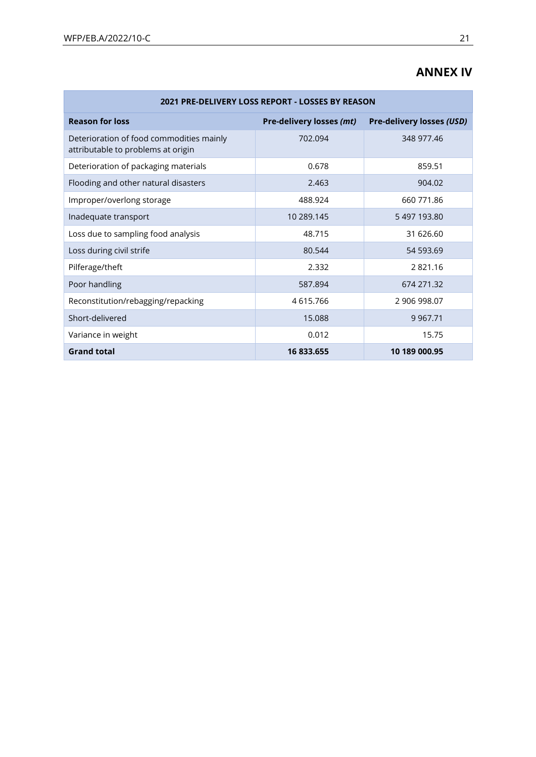×

## **ANNEX IV**

| 2021 PRE-DELIVERY LOSS REPORT - LOSSES BY REASON                               |                          |                           |  |  |  |  |
|--------------------------------------------------------------------------------|--------------------------|---------------------------|--|--|--|--|
| <b>Reason for loss</b>                                                         | Pre-delivery losses (mt) | Pre-delivery losses (USD) |  |  |  |  |
| Deterioration of food commodities mainly<br>attributable to problems at origin | 702.094                  | 348 977.46                |  |  |  |  |
| Deterioration of packaging materials                                           | 0.678                    | 859.51                    |  |  |  |  |
| Flooding and other natural disasters                                           | 2.463                    | 904.02                    |  |  |  |  |
| Improper/overlong storage                                                      | 488.924                  | 660 771.86                |  |  |  |  |
| Inadequate transport                                                           | 10 289.145               | 5497193.80                |  |  |  |  |
| Loss due to sampling food analysis                                             | 48.715                   | 31 626.60                 |  |  |  |  |
| Loss during civil strife                                                       | 80.544                   | 54 593.69                 |  |  |  |  |
| Pilferage/theft                                                                | 2.332                    | 2821.16                   |  |  |  |  |
| Poor handling                                                                  | 587.894                  | 674 271.32                |  |  |  |  |
| Reconstitution/rebagging/repacking                                             | 4615.766                 | 2 906 998.07              |  |  |  |  |
| Short-delivered                                                                | 15.088                   | 9 9 6 7.71                |  |  |  |  |
| Variance in weight                                                             | 0.012                    | 15.75                     |  |  |  |  |
| <b>Grand total</b>                                                             | 16 833.655               | 10 189 000.95             |  |  |  |  |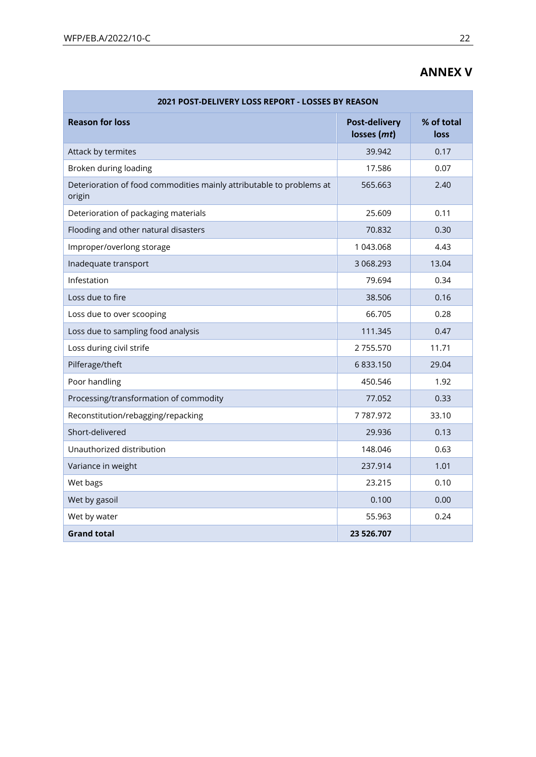## **ANNEX V**

| 2021 POST-DELIVERY LOSS REPORT - LOSSES BY REASON                              |                                     |                    |  |  |  |  |
|--------------------------------------------------------------------------------|-------------------------------------|--------------------|--|--|--|--|
| <b>Reason for loss</b>                                                         | <b>Post-delivery</b><br>losses (mt) | % of total<br>loss |  |  |  |  |
| Attack by termites                                                             | 39.942                              | 0.17               |  |  |  |  |
| Broken during loading                                                          | 17.586                              | 0.07               |  |  |  |  |
| Deterioration of food commodities mainly attributable to problems at<br>origin | 565.663                             | 2.40               |  |  |  |  |
| Deterioration of packaging materials                                           | 25.609                              | 0.11               |  |  |  |  |
| Flooding and other natural disasters                                           | 70.832                              | 0.30               |  |  |  |  |
| Improper/overlong storage                                                      | 1 043.068                           | 4.43               |  |  |  |  |
| Inadequate transport                                                           | 3 068.293                           | 13.04              |  |  |  |  |
| Infestation                                                                    | 79.694                              | 0.34               |  |  |  |  |
| Loss due to fire                                                               | 38.506                              | 0.16               |  |  |  |  |
| Loss due to over scooping                                                      | 66.705                              | 0.28               |  |  |  |  |
| Loss due to sampling food analysis                                             | 111.345                             | 0.47               |  |  |  |  |
| Loss during civil strife                                                       | 2755.570                            | 11.71              |  |  |  |  |
| Pilferage/theft                                                                | 6 833.150                           | 29.04              |  |  |  |  |
| Poor handling                                                                  | 450.546                             | 1.92               |  |  |  |  |
| Processing/transformation of commodity                                         | 77.052                              | 0.33               |  |  |  |  |
| Reconstitution/rebagging/repacking                                             | 7787.972                            | 33.10              |  |  |  |  |
| Short-delivered                                                                | 29.936                              | 0.13               |  |  |  |  |
| Unauthorized distribution                                                      | 148.046                             | 0.63               |  |  |  |  |
| Variance in weight                                                             | 237.914                             | 1.01               |  |  |  |  |
| Wet bags                                                                       | 23.215                              | 0.10               |  |  |  |  |
| Wet by gasoil                                                                  | 0.100                               | 0.00               |  |  |  |  |
| Wet by water                                                                   | 55.963                              | 0.24               |  |  |  |  |
| <b>Grand total</b>                                                             | 23 526.707                          |                    |  |  |  |  |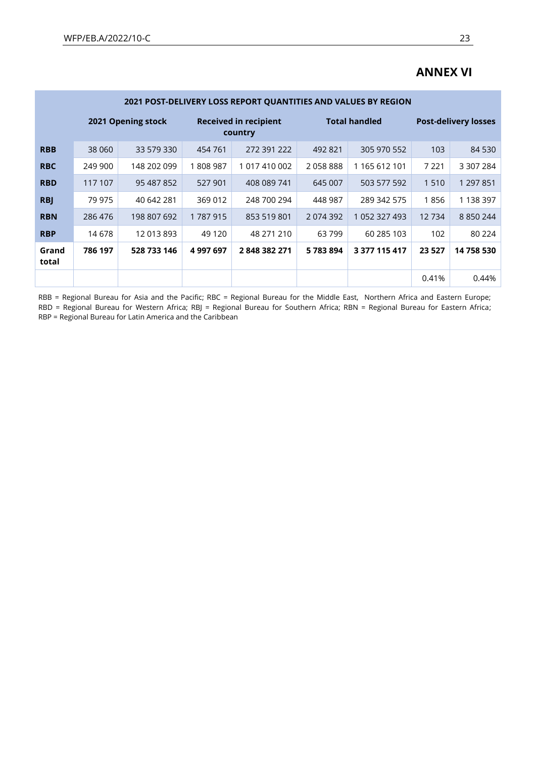|                | 2021 POST-DELIVERY LOSS REPORT QUANTITIES AND VALUES BY REGION |             |                                         |               |                      |               |                             |               |  |
|----------------|----------------------------------------------------------------|-------------|-----------------------------------------|---------------|----------------------|---------------|-----------------------------|---------------|--|
|                | 2021 Opening stock                                             |             | <b>Received in recipient</b><br>country |               | <b>Total handled</b> |               | <b>Post-delivery losses</b> |               |  |
| <b>RBB</b>     | 38 060                                                         | 33 579 330  | 454 761                                 | 272 391 222   | 492 821              | 305 970 552   | 103                         | 84 530        |  |
| <b>RBC</b>     | 249 900                                                        | 148 202 099 | 1808987                                 | 1 017 410 002 | 2058888              | 1 165 612 101 | 7 2 2 1                     | 3 307 284     |  |
| <b>RBD</b>     | 117 107                                                        | 95 487 852  | 527 901                                 | 408 089 741   | 645 007              | 503 577 592   | 1510                        | 1 297 851     |  |
| <b>RBJ</b>     | 79 975                                                         | 40 642 281  | 369 012                                 | 248 700 294   | 448 987              | 289 342 575   | 1856                        | 1 138 397     |  |
| <b>RBN</b>     | 286 476                                                        | 198 807 692 | 1787915                                 | 853 519 801   | 2074392              | 1 052 327 493 | 12734                       | 8 8 5 0 2 4 4 |  |
| <b>RBP</b>     | 14678                                                          | 12 013 893  | 49 1 20                                 | 48 271 210    | 63799                | 60 285 103    | 102                         | 80 2 24       |  |
| Grand<br>total | 786 197                                                        | 528 733 146 | 4 997 697                               | 2848382271    | 5783894              | 3 377 115 417 | 23 5 27                     | 14 758 530    |  |
|                |                                                                |             |                                         |               |                      |               | 0.41%                       | 0.44%         |  |

## **ANNEX VI**

RBB = Regional Bureau for Asia and the Pacific; RBC = Regional Bureau for the Middle East, Northern Africa and Eastern Europe; RBD = Regional Bureau for Western Africa; RBJ = Regional Bureau for Southern Africa; RBN = Regional Bureau for Eastern Africa; RBP = Regional Bureau for Latin America and the Caribbean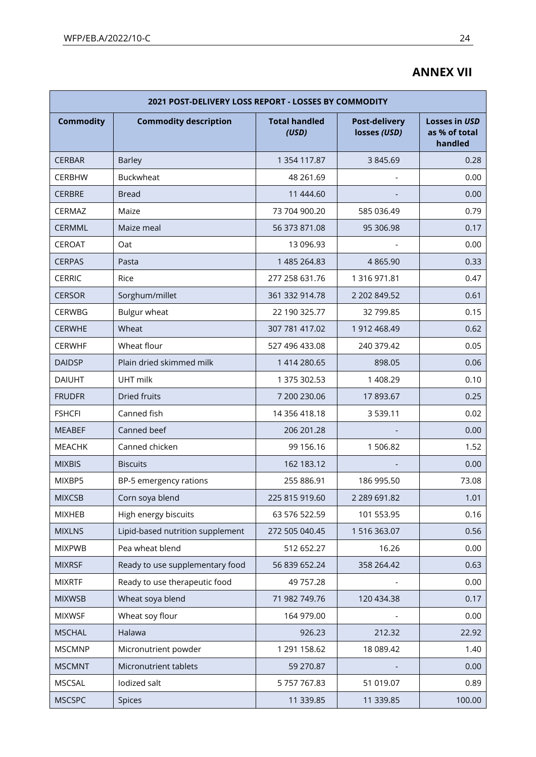## **ANNEX VII**

| 2021 POST-DELIVERY LOSS REPORT - LOSSES BY COMMODITY |                                  |                               |                                      |                                                  |  |  |  |
|------------------------------------------------------|----------------------------------|-------------------------------|--------------------------------------|--------------------------------------------------|--|--|--|
| <b>Commodity</b>                                     | <b>Commodity description</b>     | <b>Total handled</b><br>(USD) | <b>Post-delivery</b><br>losses (USD) | <b>Losses in USD</b><br>as % of total<br>handled |  |  |  |
| <b>CERBAR</b>                                        | <b>Barley</b>                    | 1 354 117.87                  | 3 845.69                             | 0.28                                             |  |  |  |
| <b>CERBHW</b>                                        | <b>Buckwheat</b>                 | 48 261.69                     |                                      | 0.00                                             |  |  |  |
| <b>CERBRE</b>                                        | <b>Bread</b>                     | 11 444.60                     |                                      | 0.00                                             |  |  |  |
| <b>CERMAZ</b>                                        | Maize                            | 73 704 900.20                 | 585 036.49                           | 0.79                                             |  |  |  |
| CERMML                                               | Maize meal                       | 56 373 871.08                 | 95 306.98                            | 0.17                                             |  |  |  |
| <b>CEROAT</b>                                        | Oat                              | 13 096.93                     |                                      | 0.00                                             |  |  |  |
| <b>CERPAS</b>                                        | Pasta                            | 1 485 264.83                  | 4 8 6 5.90                           | 0.33                                             |  |  |  |
| <b>CERRIC</b>                                        | Rice                             | 277 258 631.76                | 1 316 971.81                         | 0.47                                             |  |  |  |
| <b>CERSOR</b>                                        | Sorghum/millet                   | 361 332 914.78                | 2 202 849.52                         | 0.61                                             |  |  |  |
| <b>CERWBG</b>                                        | Bulgur wheat                     | 22 190 325.77                 | 32 799.85                            | 0.15                                             |  |  |  |
| <b>CERWHE</b>                                        | Wheat                            | 307 781 417.02                | 1912 468.49                          | 0.62                                             |  |  |  |
| <b>CERWHF</b>                                        | Wheat flour                      | 527 496 433.08                | 240 379.42                           | 0.05                                             |  |  |  |
| <b>DAIDSP</b>                                        | Plain dried skimmed milk         | 1 414 280.65                  | 898.05                               | 0.06                                             |  |  |  |
| <b>DAIUHT</b>                                        | UHT milk                         | 1 375 302.53                  | 1 408.29                             | 0.10                                             |  |  |  |
| <b>FRUDFR</b>                                        | Dried fruits                     | 7 200 230.06                  | 17893.67                             | 0.25                                             |  |  |  |
| <b>FSHCFI</b>                                        | Canned fish                      | 14 356 418.18                 | 3 5 3 9 . 1 1                        | 0.02                                             |  |  |  |
| <b>MEABEF</b>                                        | Canned beef                      | 206 201.28                    |                                      | 0.00                                             |  |  |  |
| <b>MEACHK</b>                                        | Canned chicken                   | 99 156.16                     | 1506.82                              | 1.52                                             |  |  |  |
| <b>MIXBIS</b>                                        | <b>Biscuits</b>                  | 162 183.12                    |                                      | 0.00                                             |  |  |  |
| MIXBP5                                               | BP-5 emergency rations           | 255 886.91                    | 186 995.50                           | 73.08                                            |  |  |  |
| <b>MIXCSB</b>                                        | Corn soya blend                  | 225 815 919.60                | 2 289 691.82                         | 1.01                                             |  |  |  |
| <b>MIXHEB</b>                                        | High energy biscuits             | 63 576 522.59                 | 101 553.95                           | 0.16                                             |  |  |  |
| <b>MIXLNS</b>                                        | Lipid-based nutrition supplement | 272 505 040.45                | 1516363.07                           | 0.56                                             |  |  |  |
| <b>MIXPWB</b>                                        | Pea wheat blend                  | 512 652.27                    | 16.26                                | 0.00                                             |  |  |  |
| <b>MIXRSF</b>                                        | Ready to use supplementary food  | 56 839 652.24                 | 358 264.42                           | 0.63                                             |  |  |  |
| <b>MIXRTF</b>                                        | Ready to use therapeutic food    | 49 757.28                     |                                      | 0.00                                             |  |  |  |
| <b>MIXWSB</b>                                        | Wheat soya blend                 | 71 982 749.76                 | 120 434.38                           | 0.17                                             |  |  |  |
| <b>MIXWSF</b>                                        | Wheat soy flour                  | 164 979.00                    |                                      | 0.00                                             |  |  |  |
| <b>MSCHAL</b>                                        | Halawa                           | 926.23                        | 212.32                               | 22.92                                            |  |  |  |
| <b>MSCMNP</b>                                        | Micronutrient powder             | 1 291 158.62                  | 18 089.42                            | 1.40                                             |  |  |  |
| <b>MSCMNT</b>                                        | Micronutrient tablets            | 59 270.87                     |                                      | 0.00                                             |  |  |  |
| <b>MSCSAL</b>                                        | lodized salt                     | 5 757 767.83                  | 51 019.07                            | 0.89                                             |  |  |  |
| <b>MSCSPC</b>                                        | Spices                           | 11 339.85                     | 11 339.85                            | 100.00                                           |  |  |  |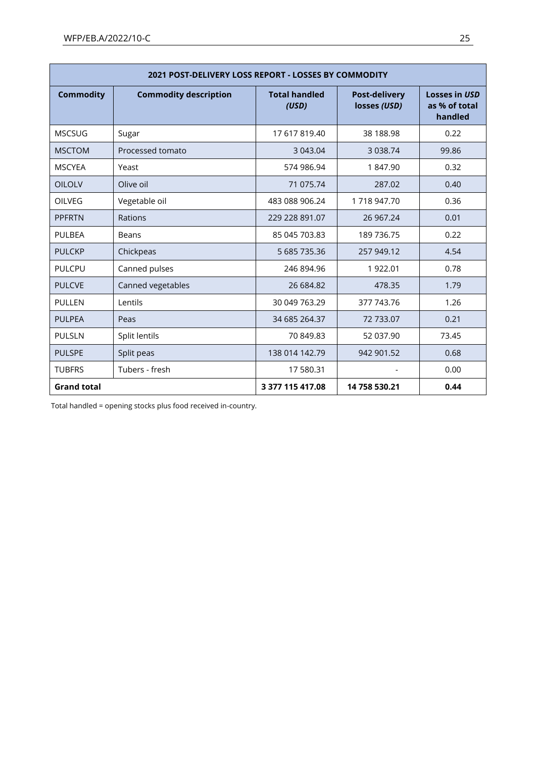| 2021 POST-DELIVERY LOSS REPORT - LOSSES BY COMMODITY |                              |                               |                                      |                                                  |  |  |  |
|------------------------------------------------------|------------------------------|-------------------------------|--------------------------------------|--------------------------------------------------|--|--|--|
| <b>Commodity</b>                                     | <b>Commodity description</b> | <b>Total handled</b><br>(USD) | <b>Post-delivery</b><br>losses (USD) | <b>Losses in USD</b><br>as % of total<br>handled |  |  |  |
| <b>MSCSUG</b>                                        | Sugar                        | 17 617 819.40                 | 38 188.98                            | 0.22                                             |  |  |  |
| <b>MSCTOM</b>                                        | Processed tomato             | 3 043.04                      | 3 0 38.74                            | 99.86                                            |  |  |  |
| <b>MSCYEA</b>                                        | Yeast                        | 574 986.94                    | 1847.90                              | 0.32                                             |  |  |  |
| <b>OILOLV</b>                                        | Olive oil                    | 71 075.74                     | 287.02                               | 0.40                                             |  |  |  |
| OILVEG                                               | Vegetable oil                | 483 088 906.24                | 1718947.70                           | 0.36                                             |  |  |  |
| <b>PPFRTN</b>                                        | Rations                      | 229 228 891.07                | 26 967.24                            | 0.01                                             |  |  |  |
| <b>PULBEA</b>                                        | <b>Beans</b>                 | 85 045 703.83                 | 189 736.75                           | 0.22                                             |  |  |  |
| <b>PULCKP</b>                                        | Chickpeas                    | 5 685 735.36                  | 257 949.12                           | 4.54                                             |  |  |  |
| PULCPU                                               | Canned pulses                | 246 894.96                    | 1 922.01                             | 0.78                                             |  |  |  |
| <b>PULCVE</b>                                        | Canned vegetables            | 26 684.82                     | 478.35                               | 1.79                                             |  |  |  |
| <b>PULLEN</b>                                        | Lentils                      | 30 049 763.29                 | 377 743.76                           | 1.26                                             |  |  |  |
| <b>PULPEA</b>                                        | Peas                         | 34 685 264.37                 | 72 733.07                            | 0.21                                             |  |  |  |
| <b>PULSLN</b>                                        | Split lentils                | 70 849.83                     | 52 037.90                            | 73.45                                            |  |  |  |
| <b>PULSPE</b>                                        | Split peas                   | 138 014 142.79                | 942 901.52                           | 0.68                                             |  |  |  |
| <b>TUBFRS</b>                                        | Tubers - fresh               | 17 580.31                     |                                      | 0.00                                             |  |  |  |
| <b>Grand total</b>                                   |                              | 3 377 115 417.08              | 14 758 530.21                        | 0.44                                             |  |  |  |

Total handled = opening stocks plus food received in-country.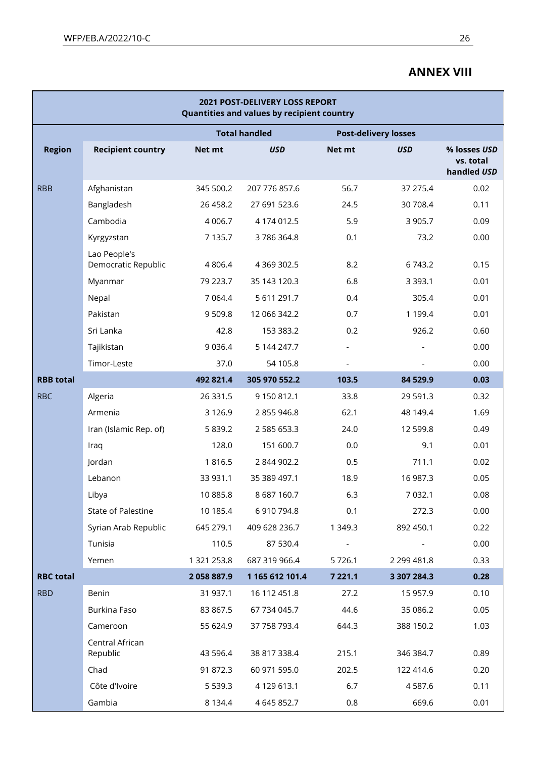## **ANNEX VIII**

| 2021 POST-DELIVERY LOSS REPORT<br>Quantities and values by recipient country |                                     |             |                      |                             |             |                                          |  |
|------------------------------------------------------------------------------|-------------------------------------|-------------|----------------------|-----------------------------|-------------|------------------------------------------|--|
|                                                                              |                                     |             | <b>Total handled</b> | <b>Post-delivery losses</b> |             |                                          |  |
| <b>Region</b>                                                                | <b>Recipient country</b>            | Net mt      | <b>USD</b>           | Net mt                      | <b>USD</b>  | % losses USD<br>vs. total<br>handled USD |  |
| <b>RBB</b>                                                                   | Afghanistan                         | 345 500.2   | 207 776 857.6        | 56.7                        | 37 275.4    | 0.02                                     |  |
|                                                                              | Bangladesh                          | 26 458.2    | 27 691 523.6         | 24.5                        | 30 708.4    | 0.11                                     |  |
|                                                                              | Cambodia                            | 4 0 0 6.7   | 4 174 012.5          | 5.9                         | 3 9 0 5.7   | 0.09                                     |  |
|                                                                              | Kyrgyzstan                          | 7 1 3 5 . 7 | 3786364.8            | 0.1                         | 73.2        | 0.00                                     |  |
|                                                                              | Lao People's<br>Democratic Republic | 4 8 0 6.4   | 4 3 69 3 0 2.5       | 8.2                         | 6 7 4 3.2   | 0.15                                     |  |
|                                                                              | Myanmar                             | 79 223.7    | 35 143 120.3         | 6.8                         | 3 3 9 3.1   | 0.01                                     |  |
|                                                                              | Nepal                               | 7 0 64.4    | 5 611 291.7          | 0.4                         | 305.4       | 0.01                                     |  |
|                                                                              | Pakistan                            | 9509.8      | 12 066 342.2         | 0.7                         | 1 199.4     | 0.01                                     |  |
|                                                                              | Sri Lanka                           | 42.8        | 153 383.2            | 0.2                         | 926.2       | 0.60                                     |  |
|                                                                              | Tajikistan                          | 9 0 3 6.4   | 5 144 247.7          |                             |             | 0.00                                     |  |
|                                                                              | Timor-Leste                         | 37.0        | 54 105.8             |                             |             | 0.00                                     |  |
| <b>RBB</b> total                                                             |                                     | 492 821.4   | 305 970 552.2        | 103.5                       | 84 529.9    | 0.03                                     |  |
| <b>RBC</b>                                                                   | Algeria                             | 26 331.5    | 9 150 812.1          | 33.8                        | 29 591.3    | 0.32                                     |  |
|                                                                              | Armenia                             | 3 1 2 6 .9  | 2 855 946.8          | 62.1                        | 48 149.4    | 1.69                                     |  |
|                                                                              | Iran (Islamic Rep. of)              | 5 8 3 9.2   | 2 585 653.3          | 24.0                        | 12 599.8    | 0.49                                     |  |
|                                                                              | Iraq                                | 128.0       | 151 600.7            | 0.0                         | 9.1         | 0.01                                     |  |
|                                                                              | Jordan                              | 1816.5      | 2 844 902.2          | 0.5                         | 711.1       | 0.02                                     |  |
|                                                                              | Lebanon                             | 33 931.1    | 35 389 497.1         | 18.9                        | 16 987.3    | 0.05                                     |  |
|                                                                              | Libya                               | 10 885.8    | 8 687 160.7          | 6.3                         | 7 0 3 2.1   | 0.08                                     |  |
|                                                                              | State of Palestine                  | 10 185.4    | 6 910 794.8          | 0.1                         | 272.3       | 0.00                                     |  |
|                                                                              | Syrian Arab Republic                | 645 279.1   | 409 628 236.7        | 1 349.3                     | 892 450.1   | 0.22                                     |  |
|                                                                              | Tunisia                             | 110.5       | 87 530.4             |                             |             | 0.00                                     |  |
|                                                                              | Yemen                               | 1 321 253.8 | 687 319 966.4        | 5726.1                      | 2 299 481.8 | 0.33                                     |  |
| <b>RBC</b> total                                                             |                                     | 2058887.9   | 1 165 612 101.4      | 7 2 2 1 . 1                 | 3 307 284.3 | 0.28                                     |  |
| <b>RBD</b>                                                                   | Benin                               | 31 937.1    | 16 112 451.8         | 27.2                        | 15 957.9    | 0.10                                     |  |
|                                                                              | Burkina Faso                        | 83 867.5    | 67 734 045.7         | 44.6                        | 35 086.2    | 0.05                                     |  |
|                                                                              | Cameroon                            | 55 624.9    | 37 758 793.4         | 644.3                       | 388 150.2   | 1.03                                     |  |
|                                                                              | Central African<br>Republic         | 43 596.4    | 38 817 338.4         | 215.1                       | 346 384.7   | 0.89                                     |  |
|                                                                              | Chad                                | 91 872.3    | 60 971 595.0         | 202.5                       | 122 414.6   | 0.20                                     |  |
|                                                                              | Côte d'Ivoire                       | 5 5 3 9 . 3 | 4 129 613.1          | 6.7                         | 4 5 8 7 . 6 | 0.11                                     |  |
|                                                                              | Gambia                              | 8 1 3 4 .4  | 4 645 852.7          | 0.8                         | 669.6       | 0.01                                     |  |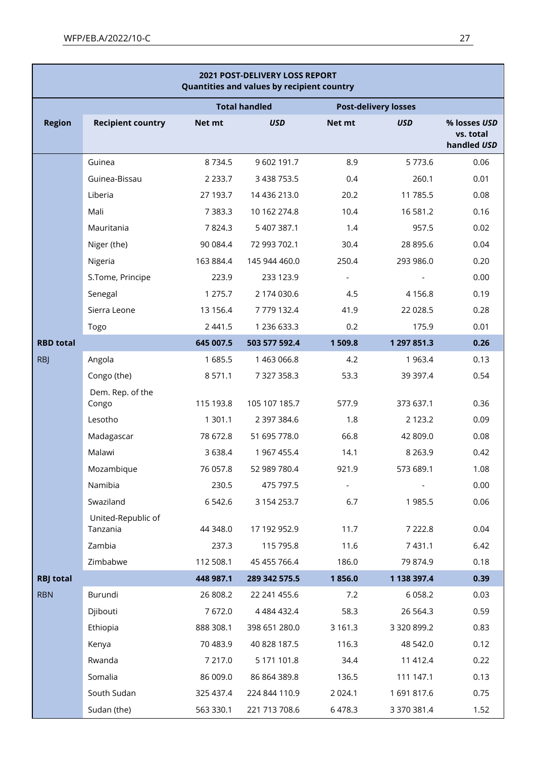| 2021 POST-DELIVERY LOSS REPORT<br>Quantities and values by recipient country |                                |             |                      |             |                             |                                          |  |
|------------------------------------------------------------------------------|--------------------------------|-------------|----------------------|-------------|-----------------------------|------------------------------------------|--|
|                                                                              |                                |             | <b>Total handled</b> |             | <b>Post-delivery losses</b> |                                          |  |
| <b>Region</b>                                                                | <b>Recipient country</b>       | Net mt      | <b>USD</b>           | Net mt      | <b>USD</b>                  | % losses USD<br>vs. total<br>handled USD |  |
|                                                                              | Guinea                         | 8734.5      | 9 602 191.7          | 8.9         | 5773.6                      | 0.06                                     |  |
|                                                                              | Guinea-Bissau                  | 2 2 3 3 . 7 | 3 438 753.5          | 0.4         | 260.1                       | 0.01                                     |  |
|                                                                              | Liberia                        | 27 193.7    | 14 436 213.0         | 20.2        | 11 785.5                    | 0.08                                     |  |
|                                                                              | Mali                           | 7 3 8 3.3   | 10 162 274.8         | 10.4        | 16 581.2                    | 0.16                                     |  |
|                                                                              | Mauritania                     | 7824.3      | 5 407 387.1          | 1.4         | 957.5                       | 0.02                                     |  |
|                                                                              | Niger (the)                    | 90 084.4    | 72 993 702.1         | 30.4        | 28 895.6                    | 0.04                                     |  |
|                                                                              | Nigeria                        | 163 884.4   | 145 944 460.0        | 250.4       | 293 986.0                   | 0.20                                     |  |
|                                                                              | S.Tome, Principe               | 223.9       | 233 123.9            |             |                             | 0.00                                     |  |
|                                                                              | Senegal                        | 1 275.7     | 2 174 030.6          | 4.5         | 4 1 5 6.8                   | 0.19                                     |  |
|                                                                              | Sierra Leone                   | 13 156.4    | 7779132.4            | 41.9        | 22 028.5                    | 0.28                                     |  |
|                                                                              | Togo                           | 2 4 4 1 .5  | 1 236 633.3          | 0.2         | 175.9                       | 0.01                                     |  |
| <b>RBD</b> total                                                             |                                | 645 007.5   | 503 577 592.4        | 1509.8      | 1 297 851.3                 | 0.26                                     |  |
| <b>RBJ</b>                                                                   | Angola                         | 1685.5      | 1 463 066.8          | 4.2         | 1 9 6 3.4                   | 0.13                                     |  |
|                                                                              | Congo (the)                    | 8 5 7 1 . 1 | 7 327 358.3          | 53.3        | 39 397.4                    | 0.54                                     |  |
|                                                                              | Dem. Rep. of the<br>Congo      | 115 193.8   | 105 107 185.7        | 577.9       | 373 637.1                   | 0.36                                     |  |
|                                                                              | Lesotho                        | 1 301.1     | 2 397 384.6          | 1.8         | 2 1 2 3 . 2                 | 0.09                                     |  |
|                                                                              | Madagascar                     | 78 672.8    | 51 695 778.0         | 66.8        | 42 809.0                    | 0.08                                     |  |
|                                                                              | Malawi                         | 3 6 3 8.4   | 1 967 455.4          | 14.1        | 8 2 6 3 . 9                 | 0.42                                     |  |
|                                                                              | Mozambique                     | 76 057.8    | 52 989 780.4         | 921.9       | 573 689.1                   | 1.08                                     |  |
|                                                                              | Namibia                        | 230.5       | 475 797.5            |             |                             | 0.00                                     |  |
|                                                                              | Swaziland                      | 6 5 4 2.6   | 3 154 253.7          | 6.7         | 1985.5                      | 0.06                                     |  |
|                                                                              | United-Republic of<br>Tanzania | 44 348.0    | 17 192 952.9         | 11.7        | 7 2 2 2.8                   | 0.04                                     |  |
|                                                                              | Zambia                         | 237.3       | 115 795.8            | 11.6        | 7 4 3 1 . 1                 | 6.42                                     |  |
|                                                                              | Zimbabwe                       | 112 508.1   | 45 455 766.4         | 186.0       | 79 874.9                    | 0.18                                     |  |
| <b>RBJ</b> total                                                             |                                | 448 987.1   | 289 342 575.5        | 1856.0      | 1 138 397.4                 | 0.39                                     |  |
| <b>RBN</b>                                                                   | Burundi                        | 26 808.2    | 22 241 455.6         | 7.2         | 6 0 5 8.2                   | 0.03                                     |  |
|                                                                              | Djibouti                       | 7672.0      | 4 4 8 4 4 3 2.4      | 58.3        | 26 5 64.3                   | 0.59                                     |  |
|                                                                              | Ethiopia                       | 888 308.1   | 398 651 280.0        | 3 1 6 1 . 3 | 3 320 899.2                 | 0.83                                     |  |
|                                                                              | Kenya                          | 70 483.9    | 40 828 187.5         | 116.3       | 48 542.0                    | 0.12                                     |  |
|                                                                              | Rwanda                         | 7 217.0     | 5 171 101.8          | 34.4        | 11 412.4                    | 0.22                                     |  |
|                                                                              | Somalia                        | 86 009.0    | 86 864 389.8         | 136.5       | 111 147.1                   | 0.13                                     |  |
|                                                                              | South Sudan                    | 325 437.4   | 224 844 110.9        | 2 0 2 4.1   | 1691817.6                   | 0.75                                     |  |
|                                                                              | Sudan (the)                    | 563 330.1   | 221 713 708.6        | 6478.3      | 3 370 381.4                 | 1.52                                     |  |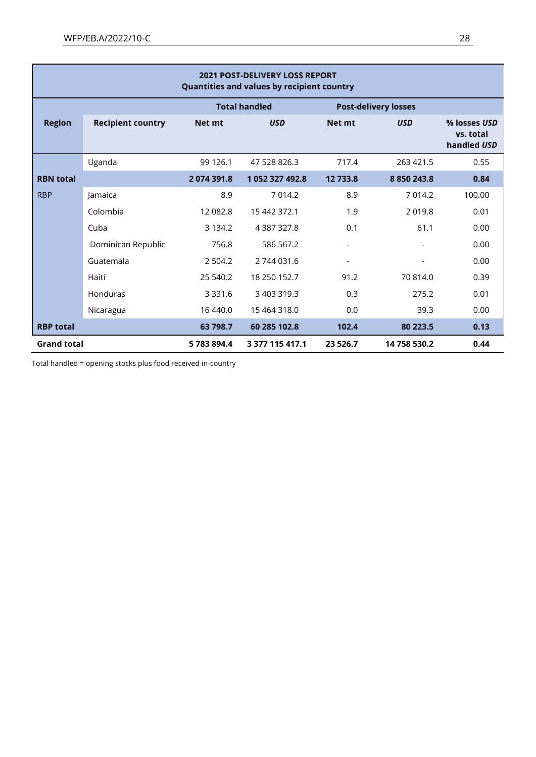| <b>2021 POST-DELIVERY LOSS REPORT</b><br>Quantities and values by recipient country |                                                     |             |                   |                          |              |                                          |
|-------------------------------------------------------------------------------------|-----------------------------------------------------|-------------|-------------------|--------------------------|--------------|------------------------------------------|
|                                                                                     | <b>Total handled</b><br><b>Post-delivery losses</b> |             |                   |                          |              |                                          |
| <b>Region</b>                                                                       | <b>Recipient country</b>                            | Net mt      | <b>USD</b>        | Net mt                   | <b>USD</b>   | % losses USD<br>vs. total<br>handled USD |
|                                                                                     | Uganda                                              | 99 1 26.1   | 47 528 826.3      | 717.4                    | 263 421.5    | 0.55                                     |
| <b>RBN</b> total                                                                    |                                                     | 2074391.8   | 1 052 327 492.8   | 12 733.8                 | 8 850 243.8  | 0.84                                     |
| <b>RBP</b>                                                                          | lamaica                                             | 8.9         | 7 0 1 4.2         | 8.9                      | 7014.2       | 100.00                                   |
|                                                                                     | Colombia                                            | 12 082.8    | 15 442 372.1      | 1.9                      | 2019.8       | 0.01                                     |
|                                                                                     | Cuba                                                | 3 1 3 4 .2  | 4 3 8 7 3 2 7 . 8 | 0.1                      | 61.1         | 0.00                                     |
|                                                                                     | Dominican Republic                                  | 756.8       | 586 567.2         | $\overline{\phantom{0}}$ |              | 0.00                                     |
|                                                                                     | Guatemala                                           | 2 5 0 4.2   | 2 744 031.6       |                          |              | 0.00                                     |
|                                                                                     | Haiti                                               | 25 540.2    | 18 250 152.7      | 91.2                     | 70 814.0     | 0.39                                     |
|                                                                                     | Honduras                                            | 3 3 3 1 . 6 | 3 403 319.3       | 0.3                      | 275.2        | 0.01                                     |
|                                                                                     | Nicaragua                                           | 16 440.0    | 15 464 318.0      | 0.0                      | 39.3         | 0.00                                     |
| <b>RBP</b> total                                                                    |                                                     | 63 798.7    | 60 285 102.8      | 102.4                    | 80 223.5     | 0.13                                     |
| <b>Grand total</b>                                                                  |                                                     | 5783894.4   | 3 377 115 417.1   | 23 5 26.7                | 14 758 530.2 | 0.44                                     |

Total handled = opening stocks plus food received in-country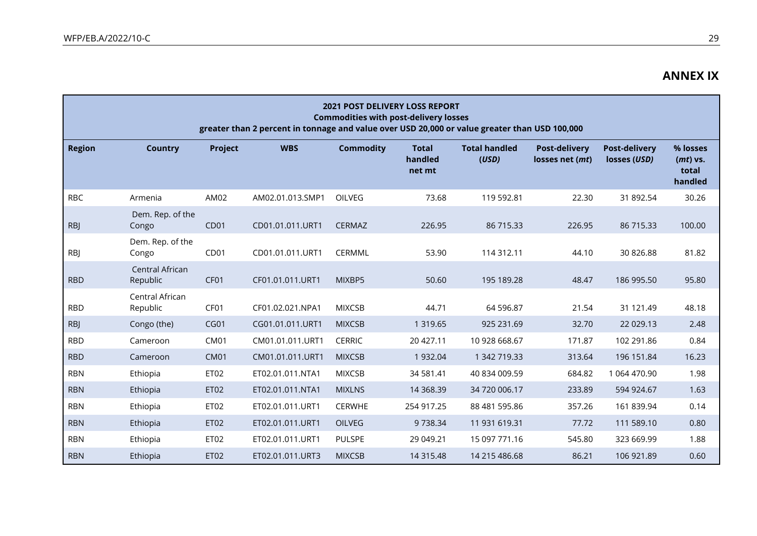|               |                             |                  | greater than 2 percent in tonnage and value over USD 20,000 or value greater than USD 100,000 | <b>2021 POST DELIVERY LOSS REPORT</b><br><b>Commodities with post-delivery losses</b> |                                   |                               |                                         |                                      |                                            |
|---------------|-----------------------------|------------------|-----------------------------------------------------------------------------------------------|---------------------------------------------------------------------------------------|-----------------------------------|-------------------------------|-----------------------------------------|--------------------------------------|--------------------------------------------|
| <b>Region</b> | <b>Country</b>              | Project          | <b>WBS</b>                                                                                    | <b>Commodity</b>                                                                      | <b>Total</b><br>handled<br>net mt | <b>Total handled</b><br>(USD) | <b>Post-delivery</b><br>losses net (mt) | <b>Post-delivery</b><br>losses (USD) | % losses<br>$(mt)$ vs.<br>total<br>handled |
| <b>RBC</b>    | Armenia                     | AM02             | AM02.01.013.SMP1                                                                              | OILVEG                                                                                | 73.68                             | 119 592.81                    | 22.30                                   | 31 892.54                            | 30.26                                      |
| <b>RBJ</b>    | Dem. Rep. of the<br>Congo   | CD <sub>01</sub> | CD01.01.011.URT1                                                                              | <b>CERMAZ</b>                                                                         | 226.95                            | 86 715.33                     | 226.95                                  | 86 715.33                            | 100.00                                     |
| <b>RBJ</b>    | Dem. Rep. of the<br>Congo   | CD <sub>01</sub> | CD01.01.011.URT1                                                                              | CERMML                                                                                | 53.90                             | 114 312.11                    | 44.10                                   | 30 826.88                            | 81.82                                      |
| <b>RBD</b>    | Central African<br>Republic | CF <sub>01</sub> | CF01.01.011.URT1                                                                              | MIXBP5                                                                                | 50.60                             | 195 189.28                    | 48.47                                   | 186 995.50                           | 95.80                                      |
| <b>RBD</b>    | Central African<br>Republic | CF01             | CF01.02.021.NPA1                                                                              | <b>MIXCSB</b>                                                                         | 44.71                             | 64 596.87                     | 21.54                                   | 31 121.49                            | 48.18                                      |
| <b>RBJ</b>    | Congo (the)                 | CGO1             | CG01.01.011.URT1                                                                              | <b>MIXCSB</b>                                                                         | 1 3 1 9 . 6 5                     | 925 231.69                    | 32.70                                   | 22 029.13                            | 2.48                                       |
| <b>RBD</b>    | Cameroon                    | <b>CM01</b>      | CM01.01.011.URT1                                                                              | <b>CERRIC</b>                                                                         | 20 427.11                         | 10 928 668.67                 | 171.87                                  | 102 291.86                           | 0.84                                       |
| <b>RBD</b>    | Cameroon                    | <b>CM01</b>      | CM01.01.011.URT1                                                                              | <b>MIXCSB</b>                                                                         | 1 932.04                          | 1 342 719.33                  | 313.64                                  | 196 151.84                           | 16.23                                      |
| <b>RBN</b>    | Ethiopia                    | ET02             | ET02.01.011.NTA1                                                                              | <b>MIXCSB</b>                                                                         | 34 581.41                         | 40 834 009.59                 | 684.82                                  | 1 064 470.90                         | 1.98                                       |
| <b>RBN</b>    | Ethiopia                    | ET02             | ET02.01.011.NTA1                                                                              | <b>MIXLNS</b>                                                                         | 14 3 68.39                        | 34 720 006.17                 | 233.89                                  | 594 924.67                           | 1.63                                       |
| <b>RBN</b>    | Ethiopia                    | ET02             | ET02.01.011.URT1                                                                              | <b>CERWHE</b>                                                                         | 254 917.25                        | 88 481 595.86                 | 357.26                                  | 161 839.94                           | 0.14                                       |
| <b>RBN</b>    | Ethiopia                    | ET <sub>02</sub> | ET02.01.011.URT1                                                                              | <b>OILVEG</b>                                                                         | 9738.34                           | 11 931 619.31                 | 77.72                                   | 111 589.10                           | 0.80                                       |
| <b>RBN</b>    | Ethiopia                    | ET <sub>02</sub> | ET02.01.011.URT1                                                                              | <b>PULSPE</b>                                                                         | 29 049.21                         | 15 097 771.16                 | 545.80                                  | 323 669.99                           | 1.88                                       |
| <b>RBN</b>    | Ethiopia                    | ET <sub>02</sub> | ET02.01.011.URT3                                                                              | <b>MIXCSB</b>                                                                         | 14 315.48                         | 14 215 486.68                 | 86.21                                   | 106 921.89                           | 0.60                                       |

**ANNEX IX**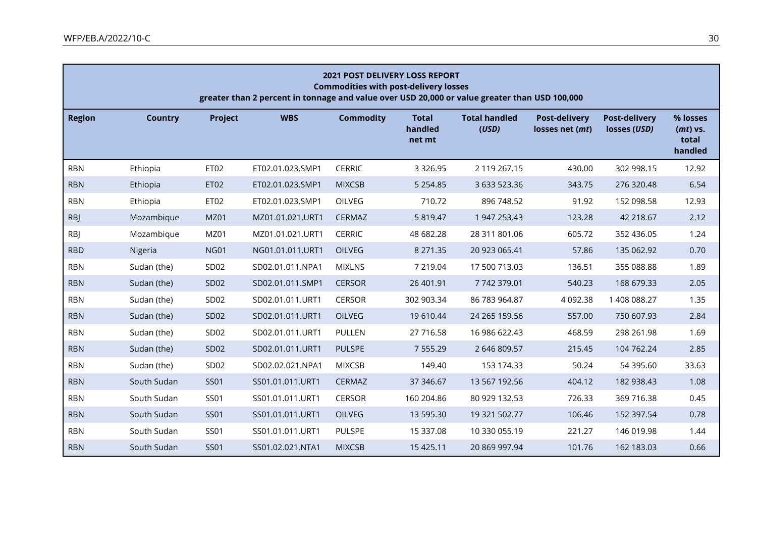| <b>2021 POST DELIVERY LOSS REPORT</b><br><b>Commodities with post-delivery losses</b><br>greater than 2 percent in tonnage and value over USD 20,000 or value greater than USD 100,000 |                |                  |                  |                  |                                   |                               |                                         |                                      |                                          |
|----------------------------------------------------------------------------------------------------------------------------------------------------------------------------------------|----------------|------------------|------------------|------------------|-----------------------------------|-------------------------------|-----------------------------------------|--------------------------------------|------------------------------------------|
| <b>Region</b>                                                                                                                                                                          | <b>Country</b> | Project          | <b>WBS</b>       | <b>Commodity</b> | <b>Total</b><br>handled<br>net mt | <b>Total handled</b><br>(USD) | <b>Post-delivery</b><br>losses net (mt) | <b>Post-delivery</b><br>losses (USD) | % losses<br>(mt) vs.<br>total<br>handled |
| <b>RBN</b>                                                                                                                                                                             | Ethiopia       | <b>ET02</b>      | ET02.01.023.SMP1 | <b>CERRIC</b>    | 3 3 2 6 . 9 5                     | 2 119 267.15                  | 430.00                                  | 302 998.15                           | 12.92                                    |
| <b>RBN</b>                                                                                                                                                                             | Ethiopia       | ET02             | ET02.01.023.SMP1 | <b>MIXCSB</b>    | 5 2 5 4 . 8 5                     | 3 633 523.36                  | 343.75                                  | 276 320.48                           | 6.54                                     |
| <b>RBN</b>                                                                                                                                                                             | Ethiopia       | ET02             | ET02.01.023.SMP1 | OILVEG           | 710.72                            | 896 748.52                    | 91.92                                   | 152 098.58                           | 12.93                                    |
| <b>RBJ</b>                                                                                                                                                                             | Mozambique     | <b>MZ01</b>      | MZ01.01.021.URT1 | CERMAZ           | 5 819.47                          | 1 947 253.43                  | 123.28                                  | 42 218.67                            | 2.12                                     |
| <b>RBJ</b>                                                                                                                                                                             | Mozambique     | MZ01             | MZ01.01.021.URT1 | <b>CERRIC</b>    | 48 682.28                         | 28 311 801.06                 | 605.72                                  | 352 436.05                           | 1.24                                     |
| <b>RBD</b>                                                                                                                                                                             | Nigeria        | <b>NG01</b>      | NG01.01.011.URT1 | OILVEG           | 8 271.35                          | 20 923 065.41                 | 57.86                                   | 135 062.92                           | 0.70                                     |
| <b>RBN</b>                                                                                                                                                                             | Sudan (the)    | SD <sub>02</sub> | SD02.01.011.NPA1 | <b>MIXLNS</b>    | 7 219.04                          | 17 500 713.03                 | 136.51                                  | 355 088.88                           | 1.89                                     |
| <b>RBN</b>                                                                                                                                                                             | Sudan (the)    | SD02             | SD02.01.011.SMP1 | <b>CERSOR</b>    | 26 401.91                         | 7742379.01                    | 540.23                                  | 168 679.33                           | 2.05                                     |
| <b>RBN</b>                                                                                                                                                                             | Sudan (the)    | SD <sub>02</sub> | SD02.01.011.URT1 | <b>CERSOR</b>    | 302 903.34                        | 86 783 964.87                 | 4 0 9 2.38                              | 1 408 088.27                         | 1.35                                     |
| <b>RBN</b>                                                                                                                                                                             | Sudan (the)    | SD02             | SD02.01.011.URT1 | OILVEG           | 19 610.44                         | 24 265 159.56                 | 557.00                                  | 750 607.93                           | 2.84                                     |
| <b>RBN</b>                                                                                                                                                                             | Sudan (the)    | SD02             | SD02.01.011.URT1 | <b>PULLEN</b>    | 27 716.58                         | 16 986 622.43                 | 468.59                                  | 298 261.98                           | 1.69                                     |
| <b>RBN</b>                                                                                                                                                                             | Sudan (the)    | SD02             | SD02.01.011.URT1 | <b>PULSPE</b>    | 7 5 5 5 . 2 9                     | 2 646 809.57                  | 215.45                                  | 104 762.24                           | 2.85                                     |
| <b>RBN</b>                                                                                                                                                                             | Sudan (the)    | SD <sub>02</sub> | SD02.02.021.NPA1 | <b>MIXCSB</b>    | 149.40                            | 153 174.33                    | 50.24                                   | 54 395.60                            | 33.63                                    |
| <b>RBN</b>                                                                                                                                                                             | South Sudan    | <b>SS01</b>      | SS01.01.011.URT1 | CERMAZ           | 37 34 6.67                        | 13 567 192.56                 | 404.12                                  | 182 938.43                           | 1.08                                     |
| <b>RBN</b>                                                                                                                                                                             | South Sudan    | <b>SS01</b>      | SS01.01.011.URT1 | <b>CERSOR</b>    | 160 204.86                        | 80 929 132.53                 | 726.33                                  | 369 716.38                           | 0.45                                     |
| <b>RBN</b>                                                                                                                                                                             | South Sudan    | <b>SS01</b>      | SS01.01.011.URT1 | OILVEG           | 13 595.30                         | 19 321 502.77                 | 106.46                                  | 152 397.54                           | 0.78                                     |
| <b>RBN</b>                                                                                                                                                                             | South Sudan    | <b>SS01</b>      | SS01.01.011.URT1 | <b>PULSPE</b>    | 15 337.08                         | 10 330 055.19                 | 221.27                                  | 146 019.98                           | 1.44                                     |
| <b>RBN</b>                                                                                                                                                                             | South Sudan    | <b>SS01</b>      | SS01.02.021.NTA1 | <b>MIXCSB</b>    | 15 4 25.11                        | 20 869 997.94                 | 101.76                                  | 162 183.03                           | 0.66                                     |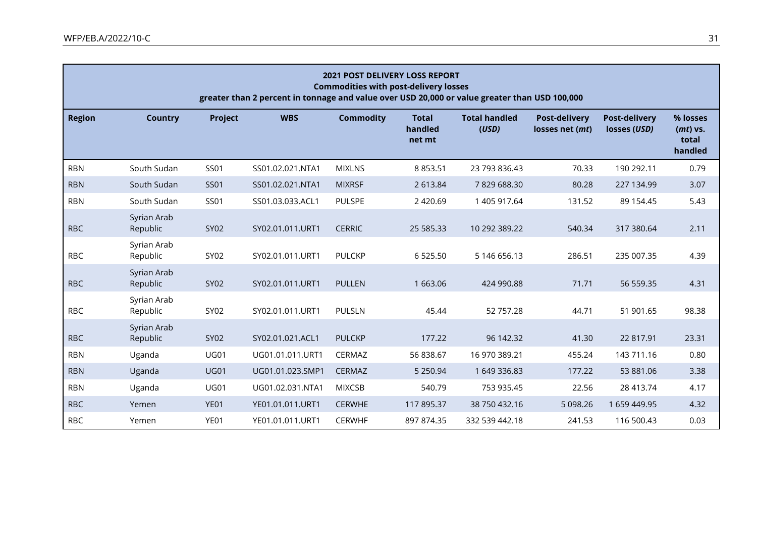|               |                         |             | greater than 2 percent in tonnage and value over USD 20,000 or value greater than USD 100,000 | <b>2021 POST DELIVERY LOSS REPORT</b><br><b>Commodities with post-delivery losses</b> |                                   |                               |                                         |                               |                                            |
|---------------|-------------------------|-------------|-----------------------------------------------------------------------------------------------|---------------------------------------------------------------------------------------|-----------------------------------|-------------------------------|-----------------------------------------|-------------------------------|--------------------------------------------|
| <b>Region</b> | <b>Country</b>          | Project     | <b>WBS</b>                                                                                    | <b>Commodity</b>                                                                      | <b>Total</b><br>handled<br>net mt | <b>Total handled</b><br>(USD) | <b>Post-delivery</b><br>losses net (mt) | Post-delivery<br>losses (USD) | % losses<br>$(mt)$ vs.<br>total<br>handled |
| <b>RBN</b>    | South Sudan             | <b>SS01</b> | SS01.02.021.NTA1                                                                              | <b>MIXLNS</b>                                                                         | 8 8 5 3.51                        | 23 793 836.43                 | 70.33                                   | 190 292.11                    | 0.79                                       |
| <b>RBN</b>    | South Sudan             | <b>SS01</b> | SS01.02.021.NTA1                                                                              | <b>MIXRSF</b>                                                                         | 2 613.84                          | 7829688.30                    | 80.28                                   | 227 134.99                    | 3.07                                       |
| <b>RBN</b>    | South Sudan             | <b>SS01</b> | SS01.03.033.ACL1                                                                              | <b>PULSPE</b>                                                                         | 2 4 2 0.69                        | 1 405 917.64                  | 131.52                                  | 89 154.45                     | 5.43                                       |
| <b>RBC</b>    | Syrian Arab<br>Republic | SY02        | SY02.01.011.URT1                                                                              | <b>CERRIC</b>                                                                         | 25 585.33                         | 10 292 389.22                 | 540.34                                  | 317 380.64                    | 2.11                                       |
| <b>RBC</b>    | Syrian Arab<br>Republic | SY02        | SY02.01.011.URT1                                                                              | <b>PULCKP</b>                                                                         | 6 5 2 5 . 5 0                     | 5 146 656.13                  | 286.51                                  | 235 007.35                    | 4.39                                       |
| <b>RBC</b>    | Syrian Arab<br>Republic | SY02        | SY02.01.011.URT1                                                                              | <b>PULLEN</b>                                                                         | 1 663.06                          | 424 990.88                    | 71.71                                   | 56 559.35                     | 4.31                                       |
| <b>RBC</b>    | Syrian Arab<br>Republic | SY02        | SY02.01.011.URT1                                                                              | <b>PULSLN</b>                                                                         | 45.44                             | 52 757.28                     | 44.71                                   | 51 901.65                     | 98.38                                      |
| <b>RBC</b>    | Syrian Arab<br>Republic | <b>SY02</b> | SY02.01.021.ACL1                                                                              | <b>PULCKP</b>                                                                         | 177.22                            | 96 142.32                     | 41.30                                   | 22 817.91                     | 23.31                                      |
| <b>RBN</b>    | Uganda                  | <b>UG01</b> | UG01.01.011.URT1                                                                              | CERMAZ                                                                                | 56 838.67                         | 16 970 389.21                 | 455.24                                  | 143 711.16                    | 0.80                                       |
| <b>RBN</b>    | Uganda                  | <b>UG01</b> | UG01.01.023.SMP1                                                                              | <b>CERMAZ</b>                                                                         | 5 2 5 0.9 4                       | 1 649 336.83                  | 177.22                                  | 53 881.06                     | 3.38                                       |
| <b>RBN</b>    | Uganda                  | <b>UG01</b> | UG01.02.031.NTA1                                                                              | <b>MIXCSB</b>                                                                         | 540.79                            | 753 935.45                    | 22.56                                   | 28 413.74                     | 4.17                                       |
| <b>RBC</b>    | Yemen                   | YE01        | YE01.01.011.URT1                                                                              | <b>CERWHE</b>                                                                         | 117 895.37                        | 38 750 432.16                 | 5 098.26                                | 1 659 449.95                  | 4.32                                       |
| <b>RBC</b>    | Yemen                   | YE01        | YE01.01.011.URT1                                                                              | <b>CERWHF</b>                                                                         | 897 874.35                        | 332 539 442.18                | 241.53                                  | 116 500.43                    | 0.03                                       |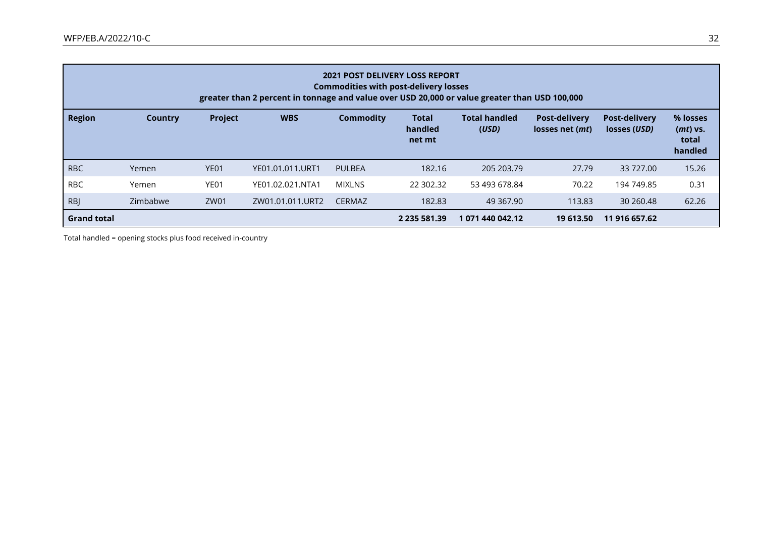| <b>2021 POST DELIVERY LOSS REPORT</b><br><b>Commodities with post-delivery losses</b><br>greater than 2 percent in tonnage and value over USD 20,000 or value greater than USD 100,000 |          |                  |                  |               |                                   |                               |                                                  |                                      |                                          |
|----------------------------------------------------------------------------------------------------------------------------------------------------------------------------------------|----------|------------------|------------------|---------------|-----------------------------------|-------------------------------|--------------------------------------------------|--------------------------------------|------------------------------------------|
| <b>Region</b>                                                                                                                                                                          | Country  | <b>Project</b>   | <b>WBS</b>       | Commodity     | <b>Total</b><br>handled<br>net mt | <b>Total handled</b><br>(USD) | <b>Post-delivery</b><br>losses net ( <i>mt</i> ) | <b>Post-delivery</b><br>losses (USD) | % losses<br>(mt) vs.<br>total<br>handled |
| <b>RBC</b>                                                                                                                                                                             | Yemen    | YE <sub>01</sub> | YE01.01.011.URT1 | <b>PULBEA</b> | 182.16                            | 205 203.79                    | 27.79                                            | 33 727.00                            | 15.26                                    |
| <b>RBC</b>                                                                                                                                                                             | Yemen    | YE01             | YE01.02.021.NTA1 | <b>MIXLNS</b> | 22 302.32                         | 53 493 678.84                 | 70.22                                            | 194 749.85                           | 0.31                                     |
| <b>RBJ</b>                                                                                                                                                                             | Zimbabwe | ZW01             | ZW01.01.011.URT2 | <b>CERMAZ</b> | 182.83                            | 49 367.90                     | 113.83                                           | 30 260.48                            | 62.26                                    |
| <b>Grand total</b>                                                                                                                                                                     |          |                  |                  |               | 2 235 581.39                      | 1 071 440 042.12              | 19 613.50                                        | 11 916 657.62                        |                                          |

Total handled = opening stocks plus food received in-country